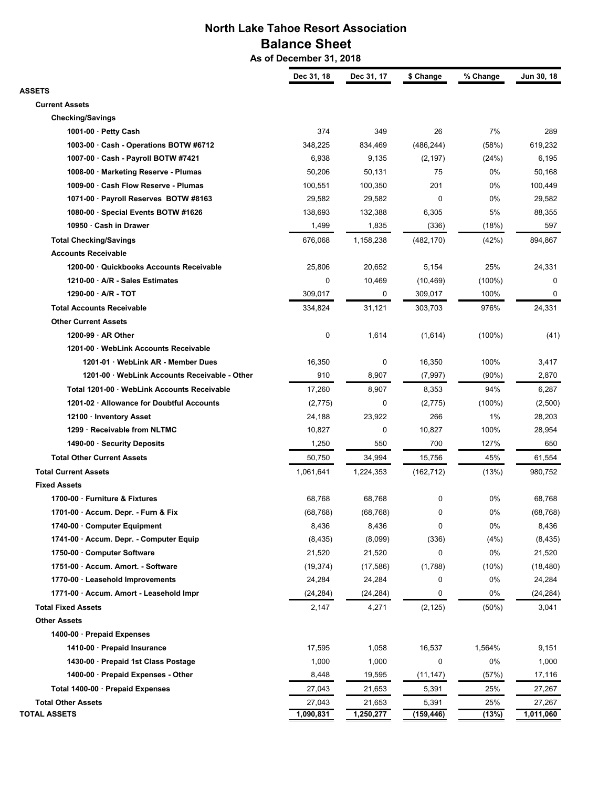# **North Lake Tahoe Resort Association Balance Sheet**

 **As of December 31, 2018**

|                                               | Dec 31, 18          | Dec 31, 17          | \$ Change           | % Change  | Jun 30, 18 |
|-----------------------------------------------|---------------------|---------------------|---------------------|-----------|------------|
| <b>ASSETS</b>                                 |                     |                     |                     |           |            |
| <b>Current Assets</b>                         |                     |                     |                     |           |            |
| <b>Checking/Savings</b>                       |                     |                     |                     |           |            |
| 1001-00 · Petty Cash                          | 374                 | 349                 | 26                  | 7%        | 289        |
| 1003-00 · Cash - Operations BOTW #6712        | 348,225             | 834,469             | (486, 244)          | (58%)     | 619,232    |
| 1007-00 · Cash - Payroll BOTW #7421           | 6,938               | 9,135               | (2, 197)            | (24%)     | 6,195      |
| 1008-00 · Marketing Reserve - Plumas          | 50,206              | 50,131              | 75                  | 0%        | 50,168     |
| 1009-00 · Cash Flow Reserve - Plumas          | 100,551             | 100,350             | 201                 | 0%        | 100,449    |
| 1071-00 · Payroll Reserves BOTW #8163         | 29,582              | 29,582              | 0                   | 0%        | 29,582     |
| 1080-00 · Special Events BOTW #1626           | 138,693             | 132,388             | 6,305               | 5%        | 88,355     |
| 10950 · Cash in Drawer                        | 1,499               | 1,835               | (336)               | (18%)     | 597        |
| <b>Total Checking/Savings</b>                 | 676,068             | 1,158,238           | (482, 170)          | (42%)     | 894,867    |
| <b>Accounts Receivable</b>                    |                     |                     |                     |           |            |
| 1200-00 · Quickbooks Accounts Receivable      | 25,806              | 20,652              | 5,154               | 25%       | 24,331     |
| 1210-00 · A/R - Sales Estimates               | 0                   | 10,469              | (10, 469)           | $(100\%)$ | 0          |
| 1290-00 · A/R - TOT                           | 309,017             | 0                   | 309,017             | 100%      | 0          |
| <b>Total Accounts Receivable</b>              | 334,824             | 31,121              | 303,703             | 976%      | 24,331     |
| <b>Other Current Assets</b>                   |                     |                     |                     |           |            |
| 1200-99 · AR Other                            | 0                   | 1,614               | (1,614)             | $(100\%)$ | (41)       |
| 1201-00 · WebLink Accounts Receivable         |                     |                     |                     |           |            |
| 1201-01 · WebLink AR - Member Dues            | 16,350              | 0                   | 16,350              | 100%      | 3,417      |
| 1201-00 · WebLink Accounts Receivable - Other | 910                 | 8,907               | (7,997)             | $(90\%)$  | 2,870      |
| Total 1201-00 · WebLink Accounts Receivable   | 17,260              | 8,907               | 8,353               | 94%       | 6,287      |
| 1201-02 · Allowance for Doubtful Accounts     | (2,775)             | 0                   | (2, 775)            | $(100\%)$ | (2,500)    |
| 12100 · Inventory Asset                       | 24,188              | 23,922              | 266                 | 1%        | 28,203     |
| 1299 · Receivable from NLTMC                  | 10,827              | 0                   | 10,827              | 100%      | 28,954     |
| 1490-00 · Security Deposits                   | 1,250               | 550                 | 700                 | 127%      | 650        |
| <b>Total Other Current Assets</b>             | 50,750              | 34,994              | 15,756              | 45%       | 61,554     |
| <b>Total Current Assets</b>                   | 1,061,641           | 1,224,353           | (162, 712)          | (13%)     | 980,752    |
| <b>Fixed Assets</b>                           |                     |                     |                     |           |            |
| 1700-00 · Furniture & Fixtures                | 68,768              | 68,768              | 0                   | 0%        | 68,768     |
| 1701-00 · Accum. Depr. - Furn & Fix           | (68, 768)           | (68, 768)           | 0                   | 0%        | (68, 768)  |
| 1740-00 Computer Equipment                    | 8,436               | 8,436               | 0                   | 0%        | 8,436      |
| 1741-00 · Accum. Depr. - Computer Equip       | (8, 435)            | (8,099)             | (336)               | (4% )     | (8, 435)   |
| 1750-00 · Computer Software                   | 21,520              | 21,520              | 0                   | 0%        | 21,520     |
| 1751-00 · Accum. Amort. - Software            | (19, 374)           | (17, 586)           | (1,788)             | (10%)     | (18, 480)  |
| 1770-00 · Leasehold Improvements              | 24,284              | 24,284              | 0                   | 0%        | 24,284     |
| 1771-00 · Accum. Amort - Leasehold Impr       | (24, 284)           | (24, 284)           | 0                   | 0%        | (24, 284)  |
| <b>Total Fixed Assets</b>                     | 2,147               | 4,271               | (2, 125)            | (50%)     | 3,041      |
| <b>Other Assets</b>                           |                     |                     |                     |           |            |
| 1400-00 · Prepaid Expenses                    |                     |                     |                     |           |            |
| 1410-00 · Prepaid Insurance                   | 17,595              | 1,058               | 16,537              | 1,564%    | 9,151      |
| 1430-00 · Prepaid 1st Class Postage           | 1,000               | 1,000               | 0                   | 0%        | 1,000      |
| 1400-00 · Prepaid Expenses - Other            | 8,448               | 19,595              | (11, 147)           | (57%)     | 17,116     |
| Total 1400-00 · Prepaid Expenses              | 27,043              | 21,653              | 5,391               | 25%       | 27,267     |
| <b>Total Other Assets</b>                     |                     |                     |                     | 25%       | 27,267     |
| <b>TOTAL ASSETS</b>                           | 27,043<br>1,090,831 | 21,653<br>1,250,277 | 5,391<br>(159, 446) | (13%)     | 1,011,060  |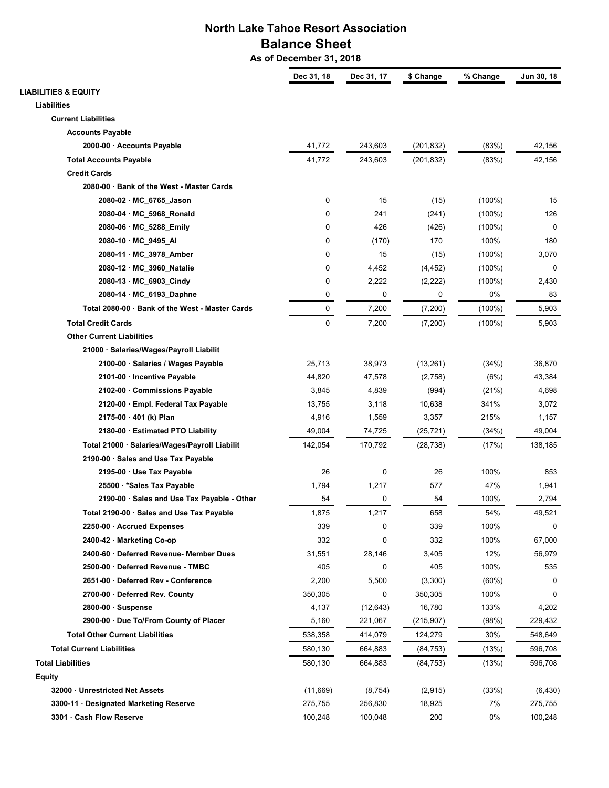# **North Lake Tahoe Resort Association Balance Sheet**

 **As of December 31, 2018**

|                                                 | Dec 31, 18 | Dec 31, 17 | \$ Change  | % Change  | Jun 30, 18 |
|-------------------------------------------------|------------|------------|------------|-----------|------------|
| <b>LIABILITIES &amp; EQUITY</b>                 |            |            |            |           |            |
| <b>Liabilities</b>                              |            |            |            |           |            |
| <b>Current Liabilities</b>                      |            |            |            |           |            |
| <b>Accounts Payable</b>                         |            |            |            |           |            |
| 2000-00 · Accounts Payable                      | 41,772     | 243,603    | (201, 832) | (83%)     | 42,156     |
| <b>Total Accounts Payable</b>                   | 41,772     | 243,603    | (201, 832) | (83%)     | 42,156     |
| <b>Credit Cards</b>                             |            |            |            |           |            |
| 2080-00 · Bank of the West - Master Cards       |            |            |            |           |            |
| 2080-02 · MC_6765_Jason                         | 0          | 15         | (15)       | $(100\%)$ | 15         |
| 2080-04 · MC_5968_Ronald                        | 0          | 241        | (241)      | $(100\%)$ | 126        |
| 2080-06 · MC_5288_Emily                         | 0          | 426        | (426)      | $(100\%)$ | 0          |
| 2080-10 · MC_9495_AI                            | 0          | (170)      | 170        | 100%      | 180        |
| 2080-11 · MC_3978_Amber                         | 0          | 15         | (15)       | $(100\%)$ | 3,070      |
| 2080-12 · MC_3960_Natalie                       | 0          | 4,452      | (4, 452)   | $(100\%)$ | 0          |
| 2080-13 · MC 6903 Cindy                         | 0          | 2,222      | (2, 222)   | $(100\%)$ | 2,430      |
| 2080-14 · MC_6193_Daphne                        | 0          | 0          | 0          | 0%        | 83         |
| Total 2080-00 · Bank of the West - Master Cards | 0          | 7,200      | (7,200)    | $(100\%)$ | 5,903      |
| <b>Total Credit Cards</b>                       | 0          | 7,200      | (7,200)    | $(100\%)$ | 5,903      |
| <b>Other Current Liabilities</b>                |            |            |            |           |            |
| 21000 · Salaries/Wages/Payroll Liabilit         |            |            |            |           |            |
| 2100-00 · Salaries / Wages Payable              | 25,713     | 38,973     | (13,261)   | (34%)     | 36,870     |
| 2101-00 · Incentive Payable                     | 44,820     | 47,578     | (2,758)    | (6%)      | 43,384     |
| 2102-00 · Commissions Payable                   | 3,845      | 4,839      | (994)      | (21%)     | 4,698      |
| 2120-00 · Empl. Federal Tax Payable             | 13,755     | 3,118      | 10,638     | 341%      | 3,072      |
| 2175-00 · 401 (k) Plan                          | 4,916      | 1,559      | 3,357      | 215%      | 1,157      |
| 2180-00 · Estimated PTO Liability               | 49,004     | 74,725     | (25, 721)  | (34%)     | 49,004     |
| Total 21000 · Salaries/Wages/Payroll Liabilit   | 142,054    | 170,792    | (28, 738)  | (17%)     | 138,185    |
| 2190-00 · Sales and Use Tax Payable             |            |            |            |           |            |
| 2195-00 · Use Tax Payable                       | 26         | 0          | 26         | 100%      | 853        |
| 25500 · * Sales Tax Payable                     | 1,794      | 1,217      | 577        | 47%       | 1,941      |
| 2190-00 · Sales and Use Tax Payable - Other     | 54         | 0          | 54         | 100%      | 2,794      |
| Total 2190-00 · Sales and Use Tax Payable       | 1,875      | 1,217      | 658        | 54%       | 49,521     |
| 2250-00 · Accrued Expenses                      | 339        | 0          | 339        | 100%      | 0          |
| 2400-42 · Marketing Co-op                       | 332        | 0          | 332        | 100%      | 67,000     |
| 2400-60 · Deferred Revenue- Member Dues         | 31,551     | 28,146     | 3,405      | 12%       | 56,979     |
| 2500-00 · Deferred Revenue - TMBC               | 405        | 0          | 405        | 100%      | 535        |
| 2651-00 · Deferred Rev - Conference             | 2,200      | 5,500      | (3,300)    | (60%)     | 0          |
| 2700-00 · Deferred Rev. County                  | 350,305    | 0          | 350,305    | 100%      | 0          |
| $2800-00 \cdot$ Suspense                        | 4,137      | (12, 643)  | 16,780     | 133%      | 4,202      |
| 2900-00 · Due To/From County of Placer          | 5,160      | 221,067    | (215, 907) | (98%)     | 229,432    |
| <b>Total Other Current Liabilities</b>          | 538,358    | 414,079    | 124,279    | 30%       | 548,649    |
| <b>Total Current Liabilities</b>                |            |            |            |           |            |
|                                                 | 580,130    | 664,883    | (84, 753)  | (13%)     | 596,708    |
| <b>Total Liabilities</b>                        | 580,130    | 664,883    | (84, 753)  | (13%)     | 596,708    |
| Equity                                          |            |            |            |           |            |
| 32000 · Unrestricted Net Assets                 | (11,669)   | (8, 754)   | (2,915)    | (33%)     | (6, 430)   |
| 3300-11 · Designated Marketing Reserve          | 275,755    | 256,830    | 18,925     | 7%        | 275,755    |
| 3301 · Cash Flow Reserve                        | 100,248    | 100,048    | 200        | 0%        | 100,248    |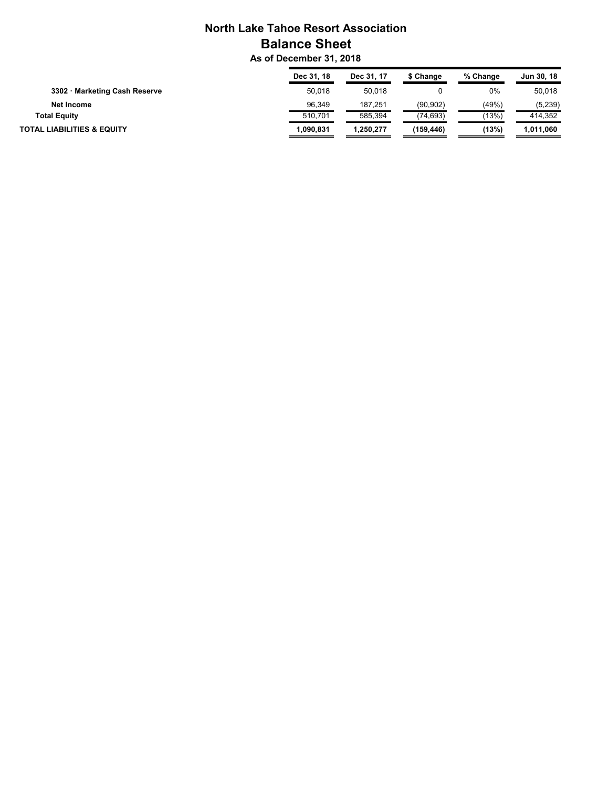# **North Lake Tahoe Resort Association Balance Sheet**

 **As of December 31, 2018**

|                                       | Dec 31, 18 | Dec 31, 17 | \$ Change | % Change | Jun 30, 18 |
|---------------------------------------|------------|------------|-----------|----------|------------|
| 3302 · Marketing Cash Reserve         | 50.018     | 50.018     |           | 0%       | 50.018     |
| Net Income                            | 96.349     | 187,251    | (90, 902) | (49%)    | (5,239)    |
| <b>Total Equity</b>                   | 510.701    | 585.394    | (74, 693) | (13%)    | 414.352    |
| <b>TOTAL LIABILITIES &amp; EQUITY</b> | 1.090.831  | 1.250.277  | (159.446) | (13%)    | 1.011.060  |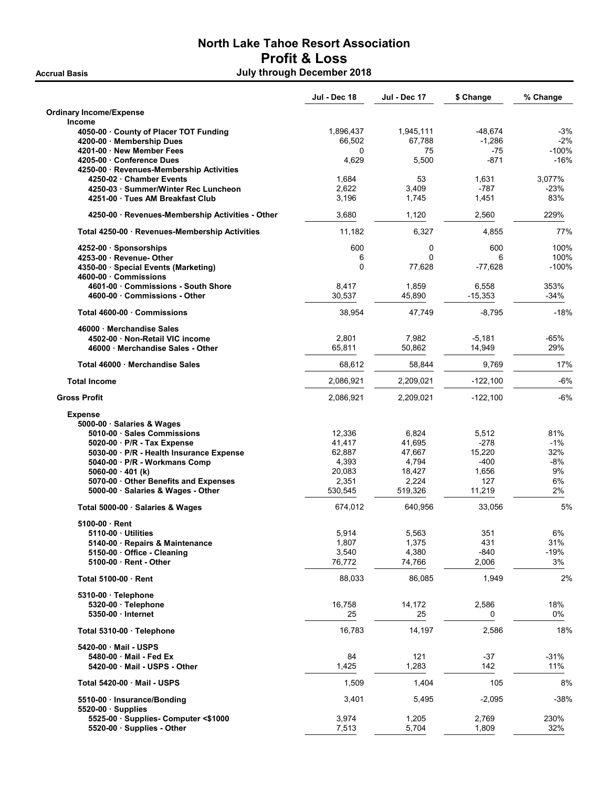# North Lake Tahoe Resort Association Profit & Loss Accrual Basis **Accrual Basis Accrual Basis Accrual Basis Accrual Basis Accrual Basis Accrual Basis Accrual Basis**

|                                                                                                                                                                                                                                                                                               | Jul - Dec 18                                                      | <b>Jul - Dec 17</b>                                              | \$ Change                                                   | % Change                                     |
|-----------------------------------------------------------------------------------------------------------------------------------------------------------------------------------------------------------------------------------------------------------------------------------------------|-------------------------------------------------------------------|------------------------------------------------------------------|-------------------------------------------------------------|----------------------------------------------|
| <b>Ordinary Income/Expense</b><br>Income                                                                                                                                                                                                                                                      |                                                                   |                                                                  |                                                             |                                              |
| 4050-00 County of Placer TOT Funding<br>4200-00 · Membership Dues                                                                                                                                                                                                                             | 1,896,437<br>66.502                                               | 1,945,111<br>67,788                                              | -48,674<br>$-1,286$                                         | $-3%$<br>$-2%$                               |
| 4201-00 New Member Fees<br>4205-00 Conference Dues<br>4250-00 · Revenues-Membership Activities                                                                                                                                                                                                | 0<br>4,629                                                        | 75<br>5,500                                                      | $-75$<br>$-871$                                             | $-100%$<br>$-16%$                            |
| 4250-02 Chamber Events<br>4250-03 · Summer/Winter Rec Luncheon<br>4251-00 Tues AM Breakfast Club                                                                                                                                                                                              | 1,684<br>2,622<br>3,196                                           | 53<br>3,409<br>1,745                                             | 1,631<br>$-787$<br>1,451                                    | 3,077%<br>$-23%$<br>83%                      |
| 4250-00 · Revenues-Membership Activities - Other                                                                                                                                                                                                                                              | 3,680                                                             | 1,120                                                            | 2,560                                                       | 229%                                         |
| Total 4250-00 · Revenues-Membership Activities                                                                                                                                                                                                                                                | 11,182                                                            | 6,327                                                            | 4,855                                                       | 77%                                          |
| $4252-00 \cdot$ Sponsorships<br>4253-00 · Revenue- Other<br>4350-00 · Special Events (Marketing)<br>4600-00 Commissions                                                                                                                                                                       | 600<br>6<br>0                                                     | 0<br>$\Omega$<br>77,628                                          | 600<br>6<br>$-77,628$                                       | 100%<br>100%<br>$-100%$                      |
| 4601-00 Commissions - South Shore<br>4600-00 Commissions - Other                                                                                                                                                                                                                              | 8,417<br>30,537                                                   | 1,859<br>45,890                                                  | 6,558<br>$-15,353$                                          | 353%<br>-34%                                 |
| Total 4600-00 Commissions                                                                                                                                                                                                                                                                     | 38,954                                                            | 47,749                                                           | $-8,795$                                                    | $-18%$                                       |
| 46000 Merchandise Sales<br>4502-00 Non-Retail VIC income<br>46000 Merchandise Sales - Other                                                                                                                                                                                                   | 2,801<br>65.811                                                   | 7,982<br>50,862                                                  | $-5,181$<br>14,949                                          | -65%<br>29%                                  |
| Total 46000 · Merchandise Sales                                                                                                                                                                                                                                                               | 68,612                                                            | 58,844                                                           | 9,769                                                       | 17%                                          |
| <b>Total Income</b>                                                                                                                                                                                                                                                                           | 2,086,921                                                         | 2,209,021                                                        | $-122,100$                                                  | $-6%$                                        |
| <b>Gross Profit</b>                                                                                                                                                                                                                                                                           | 2,086,921                                                         | 2,209,021                                                        | $-122,100$                                                  | $-6%$                                        |
| <b>Expense</b><br>5000-00 · Salaries & Wages<br>5010-00 Sales Commissions<br>5020-00 · P/R - Tax Expense<br>5030-00 · P/R - Health Insurance Expense<br>5040-00 · P/R - Workmans Comp<br>$5060-00 \cdot 401$ (k)<br>5070-00 Other Benefits and Expenses<br>5000-00 · Salaries & Wages - Other | 12,336<br>41,417<br>62,887<br>4,393<br>20,083<br>2,351<br>530,545 | 6,824<br>41,695<br>47,667<br>4,794<br>18,427<br>2,224<br>519,326 | 5,512<br>$-278$<br>15,220<br>-400<br>1,656<br>127<br>11,219 | 81%<br>$-1%$<br>32%<br>-8%<br>9%<br>6%<br>2% |
| Total 5000-00 · Salaries & Wages                                                                                                                                                                                                                                                              | 674,012                                                           | 640,956                                                          | 33,056                                                      | 5%                                           |
| 5100-00 Rent<br>5110-00 · Utilities<br>5140-00 · Repairs & Maintenance<br>5150-00 Office - Cleaning<br>5100-00 · Rent - Other                                                                                                                                                                 | 5,914<br>1,807<br>3,540<br>76,772                                 | 5,563<br>1,375<br>4,380<br>74,766                                | 351<br>431<br>-840<br>2,006                                 | $6\%$<br>31%<br>$-19%$<br>3%                 |
| Total 5100-00 · Rent                                                                                                                                                                                                                                                                          | 88,033                                                            | 86,085                                                           | 1,949                                                       | 2%                                           |
| $5310-00 \cdot$ Telephone<br>$5320-00$ Telephone<br>5350-00 · Internet                                                                                                                                                                                                                        | 16,758<br>25                                                      | 14,172<br>25                                                     | 2,586<br>0                                                  | 18%<br>0%                                    |
| Total 5310-00 Telephone                                                                                                                                                                                                                                                                       | 16,783                                                            | 14,197                                                           | 2,586                                                       | 18%                                          |
| 5420-00 · Mail - USPS<br>5480-00 Mail - Fed Ex<br>5420-00 Mail - USPS - Other                                                                                                                                                                                                                 | 84<br>1,425                                                       | 121<br>1,283                                                     | -37<br>142                                                  | $-31%$<br>11%                                |
| Total 5420-00 · Mail - USPS                                                                                                                                                                                                                                                                   | 1,509                                                             | 1,404                                                            | 105                                                         | 8%                                           |
| 5510-00 · Insurance/Bonding<br>$5520-00 \cdot$ Supplies                                                                                                                                                                                                                                       | 3,401                                                             | 5,495                                                            | $-2,095$                                                    | $-38%$                                       |
| 5525-00 · Supplies- Computer <\$1000<br>5520-00 · Supplies - Other                                                                                                                                                                                                                            | 3,974<br>7,513                                                    | 1,205<br>5,704                                                   | 2,769<br>1,809                                              | 230%<br>32%                                  |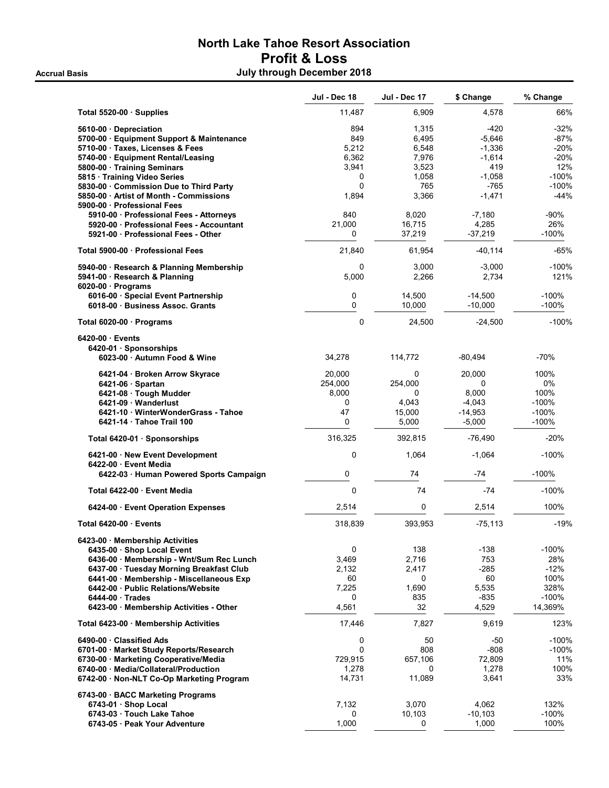# North Lake Tahoe Resort Association Profit & Loss Accrual Basis **Accrual Basis Accrual Basis Accrual Basis Accrual Basis Accrual Basis Accrual Basis Accrual Basis**

|                                                                                  | <b>Jul - Dec 18</b> | Jul - Dec 17    | \$ Change             | % Change         |
|----------------------------------------------------------------------------------|---------------------|-----------------|-----------------------|------------------|
| Total 5520-00 · Supplies                                                         | 11,487              | 6,909           | 4,578                 | 66%              |
| 5610-00 Depreciation                                                             | 894                 | 1,315           | $-420$                | -32%             |
| 5700-00 · Equipment Support & Maintenance                                        | 849                 | 6,495           | $-5,646$              | $-87%$           |
| 5710-00 · Taxes, Licenses & Fees                                                 | 5,212               | 6,548           | $-1,336$              | -20%             |
| 5740-00 · Equipment Rental/Leasing                                               | 6,362               | 7,976           | $-1,614$              | $-20%$           |
| 5800-00 · Training Seminars                                                      | 3,941               | 3,523           | 419                   | 12%              |
| 5815 · Training Video Series                                                     | 0                   | 1,058           | $-1,058$              | $-100%$          |
| 5830-00 Commission Due to Third Party                                            | $\Omega$            | 765             | $-765$                | $-100%$          |
| 5850-00 · Artist of Month - Commissions<br>5900-00 · Professional Fees           | 1,894               | 3,366           | $-1,471$              | -44%             |
| 5910-00 · Professional Fees - Attorneys                                          | 840                 | 8,020           | $-7,180$              | $-90%$           |
| 5920-00 Professional Fees - Accountant                                           | 21,000              | 16,715          | 4,285                 | 26%              |
| 5921-00 Professional Fees - Other                                                | 0                   | 37,219          | $-37,219$             | $-100%$          |
| Total 5900-00 · Professional Fees                                                | 21,840              | 61,954          | $-40,114$             | -65%             |
| 5940-00 · Research & Planning Membership                                         | 0                   | 3,000           | $-3,000$              | $-100%$          |
| 5941-00 · Research & Planning<br>$6020-00$ · Programs                            | 5,000               | 2,266           | 2,734                 | 121%             |
| 6016-00 · Special Event Partnership                                              | 0                   | 14,500          | $-14,500$             | $-100%$          |
| 6018-00 Business Assoc. Grants                                                   | 0                   | 10,000          | $-10,000$             | $-100%$          |
| Total 6020-00 · Programs                                                         | 0                   | 24,500          | $-24,500$             | $-100%$          |
| $6420-00$ Events                                                                 |                     |                 |                       |                  |
| 6420-01 Sponsorships                                                             |                     |                 |                       |                  |
| 6023-00 · Autumn Food & Wine                                                     | 34,278              | 114,772         | -80.494               | $-70%$           |
| 6421-04 · Broken Arrow Skyrace                                                   | 20,000              | 0               | 20,000                | 100%             |
| $6421-06$ · Spartan                                                              | 254,000             | 254,000         | 0                     | $0\%$            |
| 6421-08 · Tough Mudder                                                           | 8,000               | 0               | 8,000                 | 100%             |
| 6421-09 Wanderlust                                                               | 0                   | 4,043           | $-4,043$              | -100%            |
| 6421-10 WinterWonderGrass - Tahoe<br>6421-14 Tahoe Trail 100                     | 47<br>0             | 15,000<br>5,000 | $-14,953$<br>$-5,000$ | $-100%$<br>-100% |
| Total 6420-01 · Sponsorships                                                     | 316,325             | 392,815         | $-76,490$             | $-20%$           |
| 6421-00 New Event Development                                                    | 0                   | 1,064           | $-1,064$              | $-100%$          |
| 6422-00 Event Media<br>6422-03 · Human Powered Sports Campaign                   | 0                   | 74              | -74                   | $-100%$          |
| Total 6422-00 Event Media                                                        | 0                   | 74              | $-74$                 | $-100%$          |
| 6424-00 Event Operation Expenses                                                 | 2,514               | 0               | 2,514                 | 100%             |
| Total 6420-00 Events                                                             | 318,839             | 393,953         | $-75, 113$            | -19%             |
| 6423-00 Membership Activities                                                    |                     |                 |                       |                  |
| 6435-00 · Shop Local Event                                                       | 0                   | 138             | -138                  | $-100%$          |
| 6436-00 · Membership - Wnt/Sum Rec Lunch                                         | 3,469               | 2,716           | 753                   | 28%              |
| 6437-00 Tuesday Morning Breakfast Club                                           | 2,132               | 2,417           | -285                  | $-12%$           |
| 6441-00 · Membership - Miscellaneous Exp                                         | 60                  | 0               | 60                    | 100%             |
| 6442-00 Public Relations/Website                                                 | 7,225               | 1,690           | 5,535                 | 328%             |
| 6444-00 Trades                                                                   | 0                   | 835             | $-835$                | $-100%$          |
| 6423-00 · Membership Activities - Other                                          | 4,561               | 32              | 4,529                 | 14,369%          |
| Total 6423-00 · Membership Activities                                            | 17,446              | 7,827           | 9,619                 | 123%             |
| 6490-00 Classified Ads                                                           | 0<br>$\mathbf 0$    | 50<br>808       | -50                   | $-100%$          |
| 6701-00 · Market Study Reports/Research<br>6730-00 · Marketing Cooperative/Media | 729,915             | 657,106         | $-808$<br>72,809      | $-100%$<br>11%   |
| 6740-00 · Media/Collateral/Production                                            | 1,278               | 0               | 1,278                 | 100%             |
| 6742-00 · Non-NLT Co-Op Marketing Program                                        | 14,731              | 11,089          | 3,641                 | 33%              |
| 6743-00 · BACC Marketing Programs                                                |                     |                 |                       |                  |
| 6743-01 · Shop Local                                                             | 7,132               | 3,070           | 4,062                 | 132%             |
| 6743-03 · Touch Lake Tahoe                                                       | 0                   | 10,103          | $-10,103$             | $-100%$          |
| 6743-05 · Peak Your Adventure                                                    | 1,000               | 0               | 1,000                 | 100%             |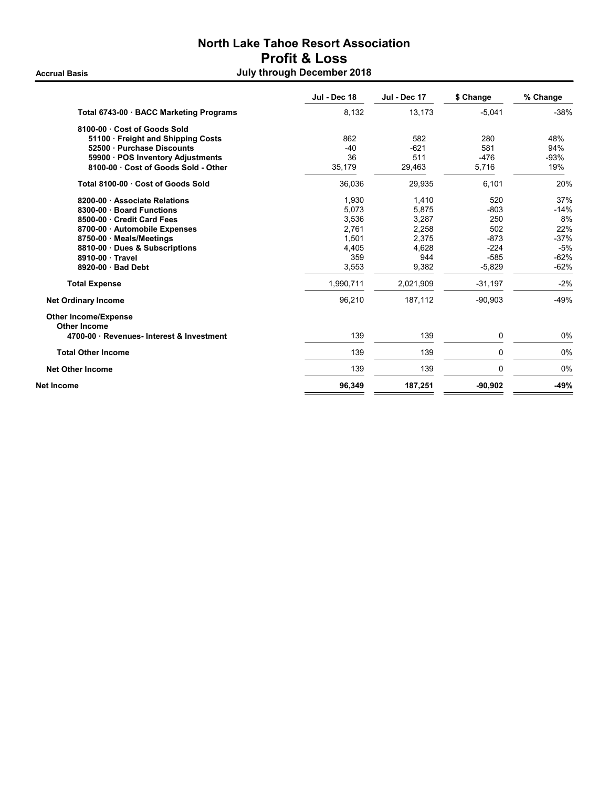# North Lake Tahoe Resort Association Profit & Loss Accrual Basis **Accrual Basis July through December 2018**

|                                                    | Jul - Dec 18 | Jul - Dec 17 | \$ Change | % Change |
|----------------------------------------------------|--------------|--------------|-----------|----------|
| Total 6743-00 · BACC Marketing Programs            | 8,132        | 13,173       | $-5,041$  | $-38%$   |
| 8100-00 · Cost of Goods Sold                       |              |              |           |          |
| 51100 Freight and Shipping Costs                   | 862          | 582          | 280       | 48%      |
| 52500 Purchase Discounts                           | $-40$        | $-621$       | 581       | 94%      |
| 59900 · POS Inventory Adjustments                  | 36           | 511          | $-476$    | $-93%$   |
| 8100-00 Cost of Goods Sold - Other                 | 35,179       | 29,463       | 5,716     | 19%      |
| Total 8100-00 Cost of Goods Sold                   | 36,036       | 29,935       | 6,101     | 20%      |
| 8200-00 Associate Relations                        | 1,930        | 1,410        | 520       | 37%      |
| 8300-00 · Board Functions                          | 5,073        | 5,875        | $-803$    | $-14%$   |
| 8500-00 Credit Card Fees                           | 3,536        | 3,287        | 250       | 8%       |
| 8700-00 Automobile Expenses                        | 2.761        | 2.258        | 502       | 22%      |
| 8750-00 · Meals/Meetings                           | 1,501        | 2,375        | $-873$    | $-37%$   |
| 8810-00 Dues & Subscriptions                       | 4,405        | 4,628        | $-224$    | $-5%$    |
| 8910-00 · Travel                                   | 359          | 944          | $-585$    | $-62%$   |
| 8920-00 Bad Debt                                   | 3,553        | 9,382        | $-5,829$  | $-62%$   |
| <b>Total Expense</b>                               | 1,990,711    | 2,021,909    | $-31,197$ | $-2%$    |
| <b>Net Ordinary Income</b>                         | 96,210       | 187,112      | $-90,903$ | $-49%$   |
| <b>Other Income/Expense</b><br><b>Other Income</b> |              |              |           |          |
| 4700-00 Revenues-Interest & Investment             | 139          | 139          | 0         | 0%       |
| <b>Total Other Income</b>                          | 139          | 139          | 0         | 0%       |
| <b>Net Other Income</b>                            | 139          | 139          | 0         | 0%       |
| Net Income                                         | 96,349       | 187,251      | $-90,902$ | $-49%$   |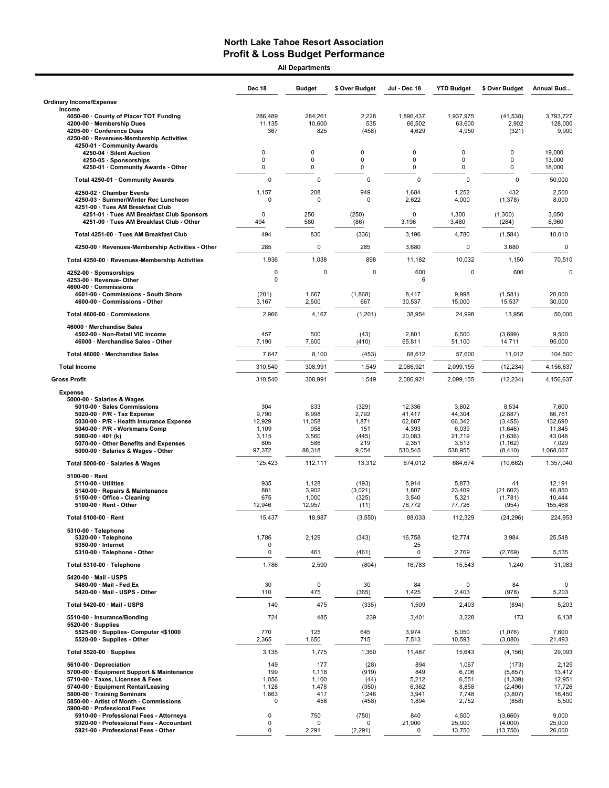All Departments

|                                                                                                                                                                                                                                                                                                         | <b>Dec 18</b>                                             | <b>Budget</b>                                           | \$ Over Budget                                          | Jul - Dec 18                                                      | <b>YTD Budget</b>                                                | \$ Over Budget                                                             | Annual Bud                                                           |
|---------------------------------------------------------------------------------------------------------------------------------------------------------------------------------------------------------------------------------------------------------------------------------------------------------|-----------------------------------------------------------|---------------------------------------------------------|---------------------------------------------------------|-------------------------------------------------------------------|------------------------------------------------------------------|----------------------------------------------------------------------------|----------------------------------------------------------------------|
| <b>Ordinary Income/Expense</b>                                                                                                                                                                                                                                                                          |                                                           |                                                         |                                                         |                                                                   |                                                                  |                                                                            |                                                                      |
| Income<br>4050-00 County of Placer TOT Funding<br>4200-00 · Membership Dues<br>4205-00 Conference Dues<br>4250-00 · Revenues-Membership Activities<br>4250-01 · Community Awards                                                                                                                        | 286,489<br>11,135<br>367                                  | 284,261<br>10,600<br>825                                | 2,228<br>535<br>(458)                                   | 1,896,437<br>66,502<br>4,629                                      | 1,937,975<br>63,600<br>4,950                                     | (41, 538)<br>2,902<br>(321)                                                | 3,793,727<br>128,000<br>9,900                                        |
| 4250-04 · Silent Auction<br>4250-05 · Sponsorships<br>4250-01 · Community Awards - Other                                                                                                                                                                                                                | 0<br>0<br>0                                               | 0<br>0<br>0                                             | $\Omega$<br>$\mathbf 0$<br>0                            | 0<br>0<br>0                                                       | $\Omega$<br>0<br>0                                               | $\mathbf 0$<br>$\mathbf 0$<br>0                                            | 19,000<br>13,000<br>18,000                                           |
| Total 4250-01 · Community Awards                                                                                                                                                                                                                                                                        | $\mathbf 0$                                               | $\mathbf 0$                                             | $\mathbf 0$                                             | $\mathbf 0$                                                       | $\mathbf 0$                                                      | $\Omega$                                                                   | 50,000                                                               |
| 4250-02 · Chamber Events<br>4250-03 · Summer/Winter Rec Luncheon<br>4251-00 · Tues AM Breakfast Club<br>4251-01 · Tues AM Breakfast Club Sponsors<br>4251-00 · Tues AM Breakfast Club - Other                                                                                                           | 1,157<br>$\mathbf 0$<br>$\mathbf 0$<br>494                | 208<br>$\Omega$<br>250<br>580                           | 949<br>$\Omega$<br>(250)<br>(86)                        | 1,684<br>2,622<br>0<br>3,196                                      | 1,252<br>4,000<br>1,300<br>3,480                                 | 432<br>(1, 378)<br>(1,300)<br>(284)                                        | 2,500<br>8,000<br>3,050<br>6,960                                     |
| Total 4251-00 · Tues AM Breakfast Club                                                                                                                                                                                                                                                                  | 494                                                       | 830                                                     | (336)                                                   | 3,196                                                             | 4,780                                                            | (1, 584)                                                                   | 10,010                                                               |
| 4250-00 · Revenues-Membership Activities - Other                                                                                                                                                                                                                                                        | 285                                                       | 0                                                       | 285                                                     | 3,680                                                             | 0                                                                | 3,680                                                                      | $\mathbf 0$                                                          |
| Total 4250-00 · Revenues-Membership Activities                                                                                                                                                                                                                                                          | 1,936                                                     | 1,038                                                   | 898                                                     | 11,182                                                            | 10,032                                                           | 1,150                                                                      | 70,510                                                               |
| 4252-00 · Sponsorships<br>4253-00 · Revenue- Other<br>4600-00 · Commissions                                                                                                                                                                                                                             | 0<br>$\mathbf 0$                                          | 0                                                       | 0                                                       | 600<br>6                                                          | $\mathbf 0$                                                      | 600                                                                        | $\Omega$                                                             |
| 4601-00 Commissions - South Shore<br>4600-00 · Commissions - Other                                                                                                                                                                                                                                      | (201)<br>3,167                                            | 1,667<br>2,500                                          | (1,868)<br>667                                          | 8,417<br>30,537                                                   | 9,998<br>15,000                                                  | (1,581)<br>15,537                                                          | 20,000<br>30,000                                                     |
| Total 4600-00 · Commissions                                                                                                                                                                                                                                                                             | 2,966                                                     | 4,167                                                   | (1,201)                                                 | 38,954                                                            | 24,998                                                           | 13,956                                                                     | 50,000                                                               |
| 46000 · Merchandise Sales<br>4502-00 · Non-Retail VIC income<br>46000 · Merchandise Sales - Other                                                                                                                                                                                                       | 457<br>7,190                                              | 500<br>7,600                                            | (43)<br>(410)                                           | 2,801<br>65,811                                                   | 6,500<br>51,100                                                  | (3,699)<br>14,711                                                          | 9,500<br>95,000                                                      |
| Total 46000 · Merchandise Sales                                                                                                                                                                                                                                                                         | 7,647                                                     | 8,100                                                   | (453)                                                   | 68,612                                                            | 57,600                                                           | 11,012                                                                     | 104,500                                                              |
| <b>Total Income</b>                                                                                                                                                                                                                                                                                     | 310,540                                                   | 308,991                                                 | 1,549                                                   | 2,086,921                                                         | 2,099,155                                                        | (12, 234)                                                                  | 4,156,637                                                            |
| <b>Gross Profit</b>                                                                                                                                                                                                                                                                                     | 310,540                                                   | 308,991                                                 | 1,549                                                   | 2,086,921                                                         | 2,099,155                                                        | (12, 234)                                                                  | 4,156,637                                                            |
| <b>Expense</b><br>5000-00 · Salaries & Wages<br>5010-00 · Sales Commissions<br>5020-00 $\cdot$ P/R - Tax Expense<br>5030-00 · P/R - Health Insurance Expense<br>5040-00 · P/R - Workmans Comp<br>5060-00 $\cdot$ 401 (k)<br>5070-00 · Other Benefits and Expenses<br>5000-00 · Salaries & Wages - Other | 304<br>9,790<br>12,929<br>1,109<br>3,115<br>805<br>97,372 | 633<br>6,998<br>11,058<br>958<br>3,560<br>586<br>88,318 | (329)<br>2,792<br>1,871<br>151<br>(445)<br>219<br>9,054 | 12,336<br>41,417<br>62,887<br>4,393<br>20,083<br>2,351<br>530,545 | 3,802<br>44,304<br>66,342<br>6,039<br>21,719<br>3,513<br>538,955 | 8,534<br>(2,887)<br>(3, 455)<br>(1,646)<br>(1,636)<br>(1, 162)<br>(8, 410) | 7,600<br>86,761<br>132,690<br>11,845<br>43,048<br>7,029<br>1,068,067 |
| Total 5000-00 · Salaries & Wages                                                                                                                                                                                                                                                                        | 125,423                                                   | 112,111                                                 | 13,312                                                  | 674,012                                                           | 684,674                                                          | (10, 662)                                                                  | 1,357,040                                                            |
| $5100-00 \cdot$ Rent<br>$5110-00 \cdot$ Utilities<br>5140-00 · Repairs & Maintenance<br>5150-00 · Office - Cleaning<br>5100-00 · Rent - Other                                                                                                                                                           | 935<br>881<br>675<br>12,946                               | 1,128<br>3,902<br>1,000<br>12,957                       | (193)<br>(3,021)<br>(325)<br>(11)                       | 5,914<br>1,807<br>3,540<br>76,772                                 | 5,873<br>23,409<br>5,321<br>77,726                               | 41<br>(21, 602)<br>(1,781)<br>(954)                                        | 12,191<br>46,850<br>10,444<br>155,468                                |
| Total 5100-00 · Rent                                                                                                                                                                                                                                                                                    | 15.437                                                    | 18.987                                                  | (3, 550)                                                | 88,033                                                            | 112.329                                                          | (24, 296)                                                                  | 224,953                                                              |
| 5310-00 · Telephone<br>5320-00 · Telephone<br>5350-00 · Internet<br>5310-00 · Telephone - Other                                                                                                                                                                                                         | 1,786<br>0<br>$\mathsf 0$                                 | 2,129<br>461                                            | (343)                                                   | 16,758<br>25<br>$\pmb{0}$                                         | 12,774                                                           | 3,984                                                                      | 25,548<br>5,535                                                      |
| Total 5310-00 · Telephone                                                                                                                                                                                                                                                                               | 1,786                                                     | 2,590                                                   | (461)<br>(804)                                          | 16,783                                                            | 2,769<br>15,543                                                  | (2,769)<br>1,240                                                           | 31,083                                                               |
| 5420-00 Mail - USPS<br>5480-00 · Mail - Fed Ex<br>5420-00 · Mail - USPS - Other                                                                                                                                                                                                                         | 30<br>110                                                 | 0<br>475                                                | 30<br>(365)                                             | 84<br>1,425                                                       | 0<br>2,403                                                       | 84<br>(978)                                                                | 0<br>5,203                                                           |
| Total 5420-00 · Mail - USPS                                                                                                                                                                                                                                                                             | 140                                                       | 475                                                     | (335)                                                   | 1,509                                                             | 2,403                                                            | (894)                                                                      | 5,203                                                                |
| 5510-00 · Insurance/Bonding                                                                                                                                                                                                                                                                             | 724                                                       | 485                                                     | 239                                                     | 3,401                                                             | 3,228                                                            | 173                                                                        | 6,138                                                                |
| $5520-00 \cdot$ Supplies<br>5525-00 · Supplies- Computer <\$1000<br>5520-00 · Supplies - Other                                                                                                                                                                                                          | 770<br>2,365                                              | 125<br>1,650                                            | 645<br>715                                              | 3,974<br>7,513                                                    | 5,050<br>10,593                                                  | (1,076)<br>(3,080)                                                         | 7,600<br>21,493                                                      |
| Total 5520-00 · Supplies                                                                                                                                                                                                                                                                                | 3,135                                                     | 1,775                                                   | 1,360                                                   | 11,487                                                            | 15,643                                                           | (4, 156)                                                                   | 29,093                                                               |
| 5610-00 Depreciation<br>5700-00 · Equipment Support & Maintenance<br>5710-00 · Taxes, Licenses & Fees<br>5740-00 · Equipment Rental/Leasing<br>5800-00 · Training Seminars<br>5850-00 · Artist of Month - Commissions<br>5900-00 · Professional Fees                                                    | 149<br>199<br>1,056<br>1,128<br>1,663<br>$\mathbf 0$      | 177<br>1,118<br>1,100<br>1,478<br>417<br>458            | (28)<br>(919)<br>(44)<br>(350)<br>1,246<br>(458)        | 894<br>849<br>5,212<br>6,362<br>3,941<br>1,894                    | 1,067<br>6,706<br>6,551<br>8,858<br>7,748<br>2,752               | (173)<br>(5, 857)<br>(1, 339)<br>(2, 496)<br>(3,807)<br>(858)              | 2,129<br>13,412<br>12,951<br>17,726<br>16,450<br>5,500               |
| 5910-00 · Professional Fees - Attorneys<br>5920-00 · Professional Fees - Accountant<br>5921-00 · Professional Fees - Other                                                                                                                                                                              | 0<br>0<br>0                                               | 750<br>$\mathbf 0$<br>2,291                             | (750)<br>0<br>(2, 291)                                  | 840<br>21,000<br>0                                                | 4,500<br>25,000<br>13,750                                        | (3,660)<br>(4,000)<br>(13, 750)                                            | 9,000<br>25,000<br>26,000                                            |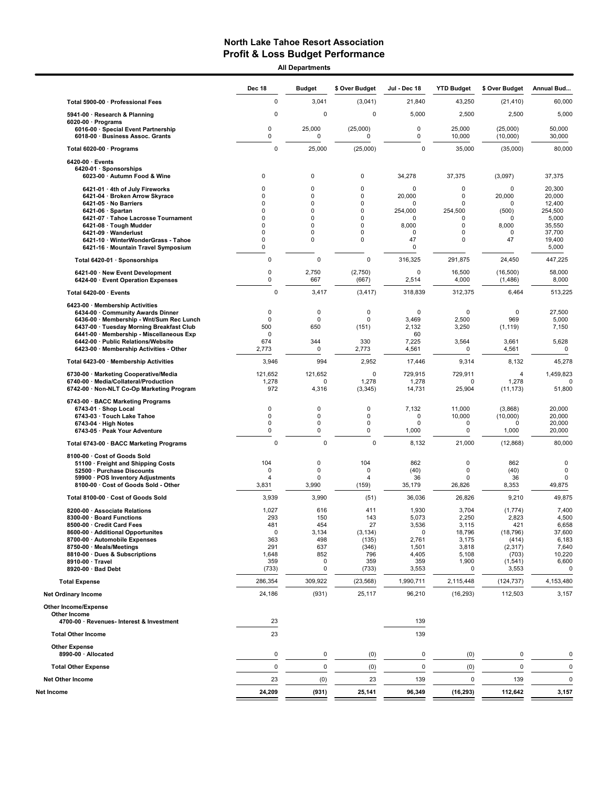All Departments

|                                                                                                                                                                                                                                                                                              | <b>Dec 18</b>                                                    | <b>Budget</b>                                                                                                     | \$ Over Budget                                                            | Jul - Dec 18                                                                  | <b>YTD Budget</b>                                                          | \$ Over Budget                                                                          | Annual Bud                                                                            |
|----------------------------------------------------------------------------------------------------------------------------------------------------------------------------------------------------------------------------------------------------------------------------------------------|------------------------------------------------------------------|-------------------------------------------------------------------------------------------------------------------|---------------------------------------------------------------------------|-------------------------------------------------------------------------------|----------------------------------------------------------------------------|-----------------------------------------------------------------------------------------|---------------------------------------------------------------------------------------|
| Total 5900-00 · Professional Fees                                                                                                                                                                                                                                                            | 0                                                                | 3,041                                                                                                             | (3,041)                                                                   | 21,840                                                                        | 43,250                                                                     | (21, 410)                                                                               | 60,000                                                                                |
| 5941-00 · Research & Planning                                                                                                                                                                                                                                                                | 0                                                                | $\mathbf 0$                                                                                                       | $\pmb{0}$                                                                 | 5,000                                                                         | 2,500                                                                      | 2,500                                                                                   | 5,000                                                                                 |
| $6020-00 \cdot$ Programs<br>6016-00 · Special Event Partnership<br>6018-00 · Business Assoc. Grants                                                                                                                                                                                          | 0<br>0                                                           | 25,000<br>0                                                                                                       | (25,000)<br>$\mathbf 0$                                                   | $\mathbf 0$<br>0                                                              | 25,000<br>10,000                                                           | (25,000)<br>(10,000)                                                                    | 50,000<br>30,000                                                                      |
| Total 6020-00 · Programs                                                                                                                                                                                                                                                                     | $\mathbf 0$                                                      | 25,000                                                                                                            | (25,000)                                                                  | $\mathbf 0$                                                                   | 35,000                                                                     | (35,000)                                                                                | 80,000                                                                                |
| $6420-00 \cdot$ Events<br>6420-01 · Sponsorships<br>6023-00 · Autumn Food & Wine                                                                                                                                                                                                             | 0                                                                | 0                                                                                                                 | 0                                                                         | 34,278                                                                        | 37,375                                                                     | (3,097)                                                                                 | 37,375                                                                                |
| 6421-01 · 4th of July Fireworks<br>6421-04 · Broken Arrow Skyrace<br>6421-05 · No Barriers<br>$6421-06 \cdot$ Spartan<br>6421-07 · Tahoe Lacrosse Tournament<br>6421-08 · Tough Mudder<br>6421-09 · Wanderlust<br>6421-10 · WinterWonderGrass - Tahoe<br>6421-16 · Mountain Travel Symposium | 0<br>0<br>0<br>0<br>$\Omega$<br>0<br>0<br>0<br>0                 | $\mathbf 0$<br>$\mathbf 0$<br>$\mathbf 0$<br>$\mathbf 0$<br>$\Omega$<br>$\mathbf 0$<br>$\mathbf 0$<br>$\mathbf 0$ | $\mathbf 0$<br>$\mathbf 0$<br>$\mathbf 0$<br>0<br>O<br>$\Omega$<br>0<br>0 | $\mathbf 0$<br>20,000<br>0<br>254,000<br>O<br>8,000<br>$\mathbf 0$<br>47<br>0 | 0<br>0<br>$\mathbf 0$<br>254,500<br>$\Omega$<br>0<br>0<br>0                | $\mathbf 0$<br>20,000<br>0<br>(500)<br>$\Omega$<br>8,000<br>$\mathbf 0$<br>47           | 20,300<br>20,000<br>12,400<br>254.500<br>5,000<br>35,550<br>37,700<br>19,400<br>5,000 |
| Total 6420-01 · Sponsorships                                                                                                                                                                                                                                                                 | $\mathbf 0$                                                      | 0                                                                                                                 | $\Omega$                                                                  | 316,325                                                                       | 291,875                                                                    | 24,450                                                                                  | 447,225                                                                               |
| 6421-00 · New Event Development<br>6424-00 · Event Operation Expenses                                                                                                                                                                                                                        | $\pmb{0}$<br>0                                                   | 2,750<br>667                                                                                                      | (2,750)<br>(667)                                                          | $\mathbf 0$<br>2,514                                                          | 16,500<br>4,000                                                            | (16, 500)<br>(1, 486)                                                                   | 58,000<br>8,000                                                                       |
| Total 6420-00 · Events                                                                                                                                                                                                                                                                       | 0                                                                | 3,417                                                                                                             | (3, 417)                                                                  | 318,839                                                                       | 312,375                                                                    | 6,464                                                                                   | 513,225                                                                               |
| 6423-00 · Membership Activities<br>6434-00 · Community Awards Dinner<br>6436 00 · Membership - Wnt/Sum Rec Lunch<br>6437-00 · Tuesday Morning Breakfast Club<br>6441-00 · Membership - Miscellaneous Exp<br>6442-00 · Public Relations/Website<br>6423-00 · Membership Activities - Other    | $\mathbf 0$<br>$\mathbf 0$<br>500<br>$\mathbf 0$<br>674<br>2,773 | 0<br>0<br>650<br>344<br>0                                                                                         | $\mathbf 0$<br>$\mathbf 0$<br>(151)<br>330<br>2,773                       | 0<br>3,469<br>2,132<br>60<br>7,225<br>4,561                                   | 0<br>2,500<br>3,250<br>3,564<br>0                                          | $\mathbf 0$<br>969<br>(1, 119)<br>3,661<br>4,561                                        | 27,500<br>5,000<br>7,150<br>5,628<br>$\mathbf 0$                                      |
| Total 6423-00 · Membership Activities                                                                                                                                                                                                                                                        | 3,946                                                            | 994                                                                                                               | 2,952                                                                     | 17,446                                                                        | 9,314                                                                      | 8,132                                                                                   | 45,278                                                                                |
| 6730-00 · Marketing Cooperative/Media<br>6740-00 · Media/Collateral/Production<br>6742-00 · Non-NLT Co-Op Marketing Program                                                                                                                                                                  | 121,652<br>1,278<br>972                                          | 121,652<br>0<br>4,316                                                                                             | 0<br>1,278<br>(3, 345)                                                    | 729,915<br>1,278<br>14,731                                                    | 729,911<br>$\mathbf 0$<br>25,904                                           | 4<br>1,278<br>(11, 173)                                                                 | 1,459,823<br>51,800                                                                   |
| 6743-00 · BACC Marketing Programs<br>6743-01 · Shop Local<br>6743-03 · Touch Lake Tahoe<br>$6743-04 \cdot$ High Notes<br>6743-05 · Peak Your Adventure                                                                                                                                       | $\mathbf 0$<br>$\mathbf 0$<br>0<br>0                             | 0<br>0<br>0<br>0                                                                                                  | $\mathbf 0$<br>$\mathbf 0$<br>$\mathbf 0$<br>$\pmb{0}$                    | 7,132<br>0<br>$\mathbf 0$<br>1,000                                            | 11,000<br>10,000<br>0<br>$\pmb{0}$                                         | (3,868)<br>(10,000)<br>0<br>1,000                                                       | 20,000<br>20,000<br>20,000<br>20,000                                                  |
| Total 6743-00 · BACC Marketing Programs                                                                                                                                                                                                                                                      | $\mathbf 0$                                                      | $\mathbf 0$                                                                                                       | 0                                                                         | 8,132                                                                         | 21,000                                                                     | (12, 868)                                                                               | 80,000                                                                                |
| 8100-00 · Cost of Goods Sold<br>51100 · Freight and Shipping Costs<br>52500 · Purchase Discounts<br>59900 · POS Inventory Adjustments<br>8100-00 · Cost of Goods Sold - Other                                                                                                                | 104<br>$\mathbf 0$<br>4<br>3,831                                 | 0<br>0<br>0<br>3,990                                                                                              | 104<br>$\mathbf 0$<br>$\boldsymbol{\Delta}$<br>(159)                      | 862<br>(40)<br>36<br>35,179                                                   | 0<br>0<br>$\mathbf 0$<br>26,826                                            | 862<br>(40)<br>36<br>8,353                                                              | $\mathbf 0$<br>$\mathbf 0$<br>0<br>49,875                                             |
| Total 8100-00 · Cost of Goods Sold                                                                                                                                                                                                                                                           | 3,939                                                            | 3,990                                                                                                             | (51)                                                                      | 36,036                                                                        | 26,826                                                                     | 9,210                                                                                   | 49,875                                                                                |
| 8200-00 · Associate Relations<br>8300-00 · Board Functions<br>8500-00 · Credit Card Fees<br>8600-00 · Additional Opportunites<br>8700-00 · Automobile Expenses<br>8750-00 · Meals/Meetings<br>8810-00 · Dues & Subscriptions<br>8910-00 · Travel<br>8920-00 · Bad Debt                       | 1,027<br>293<br>481<br>0<br>363<br>291<br>1,648<br>359<br>(733)  | 616<br>150<br>454<br>3,134<br>498<br>637<br>852<br>$\mathbf 0$<br>0                                               | 411<br>143<br>27<br>(3, 134)<br>(135)<br>(346)<br>796<br>359<br>(733)     | 1,930<br>5,073<br>3,536<br>0<br>2,761<br>1,501<br>4,405<br>359<br>3,553       | 3,704<br>2,250<br>3,115<br>18,796<br>3,175<br>3,818<br>5,108<br>1,900<br>O | (1,774)<br>2,823<br>421<br>(18, 796)<br>(414)<br>(2, 317)<br>(703)<br>(1, 541)<br>3,553 | 7,400<br>4,500<br>6,658<br>37,600<br>6,183<br>7,640<br>10,220<br>6,600<br>0           |
| <b>Total Expense</b>                                                                                                                                                                                                                                                                         | 286,354                                                          | 309,922                                                                                                           | (23, 568)                                                                 | 1,990,711                                                                     | 2,115,448                                                                  | (124, 737)                                                                              | 4,153,480                                                                             |
| <b>Net Ordinary Income</b>                                                                                                                                                                                                                                                                   | 24,186                                                           | (931)                                                                                                             | 25,117                                                                    | 96,210                                                                        | (16, 293)                                                                  | 112,503                                                                                 | 3,157                                                                                 |
| <b>Other Income/Expense</b><br>Other Income<br>4700-00 · Revenues- Interest & Investment                                                                                                                                                                                                     | 23                                                               |                                                                                                                   |                                                                           | 139                                                                           |                                                                            |                                                                                         |                                                                                       |
| <b>Total Other Income</b>                                                                                                                                                                                                                                                                    | 23                                                               |                                                                                                                   |                                                                           | 139                                                                           |                                                                            |                                                                                         |                                                                                       |
| <b>Other Expense</b><br>8990-00 · Allocated                                                                                                                                                                                                                                                  | 0                                                                | 0                                                                                                                 | (0)                                                                       | 0                                                                             | (0)                                                                        | 0                                                                                       | $\pmb{0}$                                                                             |
| <b>Total Other Expense</b>                                                                                                                                                                                                                                                                   | 0                                                                | $\pmb{0}$                                                                                                         | (0)                                                                       | 0                                                                             | (0)                                                                        | 0                                                                                       | $\pmb{0}$                                                                             |
| <b>Net Other Income</b>                                                                                                                                                                                                                                                                      | 23                                                               | (0)                                                                                                               | 23                                                                        | 139                                                                           | $\mathbf 0$                                                                | 139                                                                                     | $\pmb{0}$                                                                             |
| Net Income                                                                                                                                                                                                                                                                                   | 24,209                                                           | (931)                                                                                                             | 25,141                                                                    | 96,349                                                                        | (16, 293)                                                                  | 112,642                                                                                 | 3,157                                                                                 |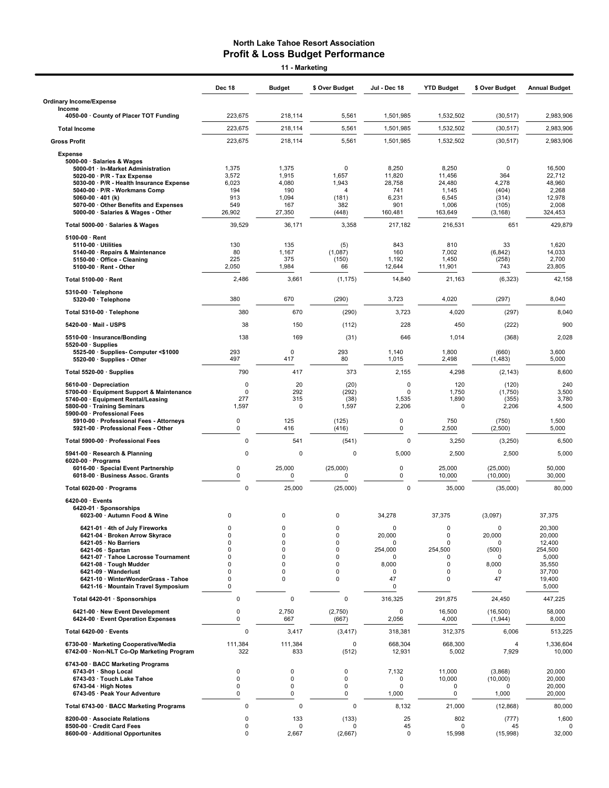Dec 18 Budget \$ Over Budget Jul - Dec 18 YTD Budget \$ Over Budget Annual Budget Ordinary Income/Expense Income 4050-00 · County of Placer TOT Funding 223,675 218,114 5,561 1,501,985 1,532,502 (30,517) 2,983,906 Total Income 223,675 218,114 5,561 1,501,985 1,532,502 (30,517) 2,983,906 Gross Profit 223,675 218,114 5,561 1,501,985 1,532,502 (30,517) 2,983,906 Expense 5000-00 · Salaries & Wages 5000-01 · In-Market Administration 1,375 1,375 0 8,250 8,250 0 16,500 5020-00 · P/R - Tax Expense 3,572 1,915 1,657 11,820 11,456 364 22,712 5030-00 · P/R - Health Insurance Expense 6,023 4,080 1,943 28,758 24,480 4,278 48,960 5040-00 · P/R - Workmans Comp 194 190 4 741 1,145 (404) 2,268 5060-00 · 401 (k) 913 1,094 (181) 6,231 6,545 (314) 12,978 5070-00 · Other Benefits and Expenses 549 167 382 901 1,006 (105) 2,008 5000-00 · Salaries & Wages - Other **Total 5000-00 · Salaries & Wages 39,529** 36,171 3,358 217,182 216,531 651 429,879 5100-00 · Rent **5110-00 · Utilities 1**30 135 (5) 843 810 33 1,620 5140-00 · Repairs & Maintenance 80 1,167 (1,087) 160 7,002 (6,842) 14,033 5150-00 · Office - Cleaning 225 375 (150) 1,192 1,450 (258) 2,700 5100-00 · Rent - Other 2,050 1,984 66 12,644 11,901 743 23,805  ${\bf Total~5100\text{-}00\cdot }\text{Rent}$  2,486 3,661 (1,175) 14,840 21,163 (6,323) 42,158 5310-00 · Telephone 5320-00 · Telephone 380 670 (290) 3,723 4,020 (297) 8,040 Total 5310-00 · Telephone 380 670 (290) 3,723 4,020 (297) 8,040 **5420-00 · Mail - USPS 38 150** (112) 228 450 (222) 900 **5510-00 · Insurance/Bonding** 138 138 169 (31) 646 1,014 (368) 2,028 5520-00 · Supplies 5525-00 · Supplies- Computer <\$1000 293 0 293 1,140 1,800 (660) 3,600  $5520-00 \cdot$  Supplies - Other **Total 5520-00 · Supplies 19the 10 · Supplies 12, 1420 12, 1420 12, 1430 12, 1430 12, 1430 12, 1430 12, 1430 12, 1430 12, 1430 12, 1430 12, 1430 12, 1430 12, 1430 12, 1430 12, 1430 12, 1430 12, 1430 12, 1430 12, 1430 12, 1** 5610-00 · Depreciation 0 20 (20) 0 120 (120) 240 5700-00 · Equipment Support & Maintenance 0 292 (292) 0 1,750 (1,750) 3,500 5740-00 · Equipment Rental/Leasing 277 315 (38) 1,535 1,890 (355) 3,780 5800-00 · Training Seminars 5900-00 · Professional Fees 5910-00 · Professional Fees - Attorneys 0 125 (125) 0 750 (750) 1,500 5921-00  $\cdot$  Professional Fees - Other Total 5900-00 · Professional Fees 0 541 (541) 0 3,250 (3,250) 6,500 5941-00 · Research & Planning 0 0 0 5,000 2,500 2,500 5,000 6020-00 · Programs 6016-00 · Special Event Partnership 0 25,000 (25,000) 0 25,000 (25,000) 50,000 6018-00 · Business Assoc. Grants Total 6020-00 · Programs 0 25,000 (25,000) 0 35,000 (35,000) 80,000 6420-00 · Events 6420-01 · Sponsorships 6023-00 · Autumn Food & Wine 0 0 0 34,278 37,375 (3,097) 37,375 ة 6421-01 · 4th of July Fireworks ب0 0 0 0 0 0 0 0 0 0 0 0 0 0 0 20,300<br>المسلم 6421-04 · Broken Arrow Skyrace 0 0 0 0 0 0 20,000 0 20,000 0 20,000 0 20,000 6421-04 · Broken Arrow Skyrace 6421-05 · No Barriers 0 0 0 0 0 0 12,400 6421-06 · Spartan 0 0 0 254,000 254,500 (500) 254,500 ة 1991-07 · Tahoe Lacrosse Tournament و 10 0 0 0 0 0 0 0 0 0 0 0 5,000<br>الموجود المستخدمة المستخدمة المستخدمة المستخدمة المستخدمة المستخدمة المستخدمة المستخدمة المستخدمة المستخدمة ال<br>والمستخدمة المستخدمة المستخدمة المستخدم  $6421-08 \cdot$  Tough Mudder 6421-09 · Wanderlust 0 0 0 0 0 0 37,700 **6421-10 · WinterWonderGrass - Tahoe 0 0 0 0 0 47 0 47 19400** 6421-16 · Mountain Travel Symposium 0 0 5,000 Total 6420-01 · Sponsorships 0 0 0 316,325 291,875 24,450 447,225 6421-00 · New Event Development 0 2,750 (2,750) 0 16,500 (16,500) 58,000 6424-00 · Event Operation Expenses Total 6420-00 · Events 0 3,417 (3,417) 318,381 312,375 6,006 513,225 6730-00 · Marketing Cooperative/Media 111,384 111,384 0 668,304 668,300 4 1,336,604 6742-00 · Non-NLT Co-Op Marketing Program 6743-00 · BACC Marketing Programs 6743-01 · Shop Local 0 0 0 7,132 11,000 (3,868) 20,000 6743-03 · Touch Lake Tahoe 0 0 0 0 10,000 (10,000) 20,000 6743-04 · High Notes 0 0 0 0 0 0 20,000 6743-05 · Peak Your Adventure Total 6743-00 · BACC Marketing Programs 0 0 0 8,132 21,000 (12,868) 80,000 8200-00 · Associate Relations 0 133 (133) 25 802 (777) 1,600 8500-00 · Credit Card Fees 0 0 0 45 0 45 0 8600-00 · Additional Opportunites 0 2,667 (2,667) 32,098 (2,697) 32,000 15,998 (2,697) 32,000 15,998 (15,998) 3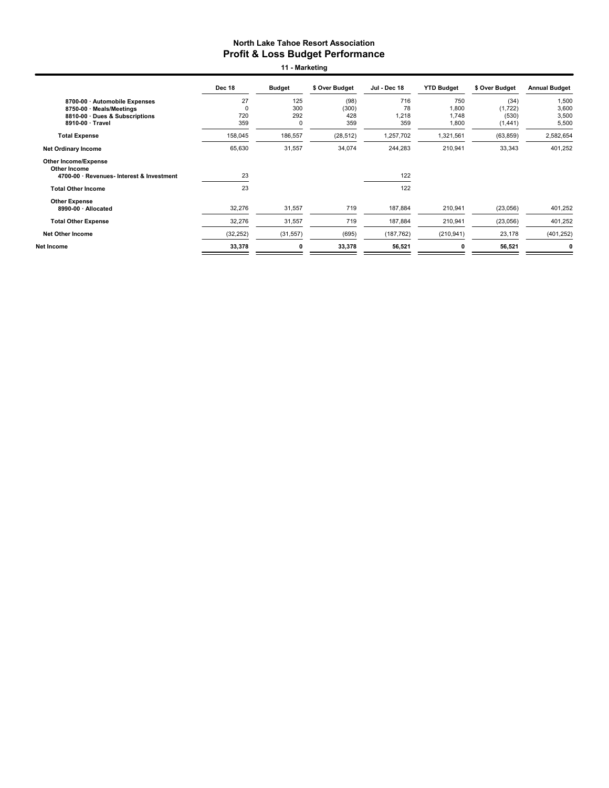11 - Marketing

|                                                                                                             | Dec 18                       | <b>Budget</b>                    | \$ Over Budget              | Jul - Dec 18              | <b>YTD Budget</b>              | \$ Over Budget                        | <b>Annual Budget</b>             |
|-------------------------------------------------------------------------------------------------------------|------------------------------|----------------------------------|-----------------------------|---------------------------|--------------------------------|---------------------------------------|----------------------------------|
| 8700-00 · Automobile Expenses<br>8750-00 · Meals/Meetings<br>8810-00 Dues & Subscriptions<br>8910-00 Travel | 27<br>$\Omega$<br>720<br>359 | 125<br>300<br>292<br>$\mathbf 0$ | (98)<br>(300)<br>428<br>359 | 716<br>78<br>1,218<br>359 | 750<br>1,800<br>1,748<br>1,800 | (34)<br>(1, 722)<br>(530)<br>(1, 441) | 1,500<br>3,600<br>3,500<br>5,500 |
| <b>Total Expense</b>                                                                                        | 158,045                      | 186,557                          | (28, 512)                   | 1,257,702                 | 1,321,561                      | (63, 859)                             | 2,582,654                        |
| <b>Net Ordinary Income</b>                                                                                  | 65,630                       | 31,557                           | 34,074                      | 244,283                   | 210,941                        | 33,343                                | 401,252                          |
| <b>Other Income/Expense</b><br>Other Income<br>4700-00 · Revenues- Interest & Investment                    | 23                           |                                  |                             | 122                       |                                |                                       |                                  |
| <b>Total Other Income</b>                                                                                   | 23                           |                                  |                             | 122                       |                                |                                       |                                  |
| <b>Other Expense</b><br>8990-00 · Allocated                                                                 | 32,276                       | 31,557                           | 719                         | 187,884                   | 210,941                        | (23,056)                              | 401,252                          |
| <b>Total Other Expense</b>                                                                                  | 32,276                       | 31,557                           | 719                         | 187,884                   | 210,941                        | (23,056)                              | 401,252                          |
| <b>Net Other Income</b>                                                                                     | (32, 252)                    | (31, 557)                        | (695)                       | (187, 762)                | (210, 941)                     | 23,178                                | (401, 252)                       |
| Net Income                                                                                                  | 33,378                       | 0                                | 33,378                      | 56,521                    |                                | 56,521                                |                                  |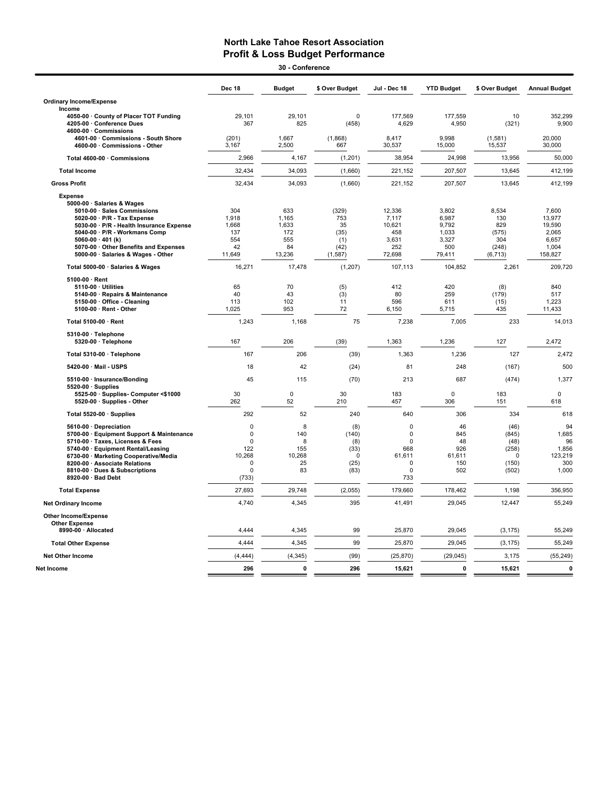$\overline{\phantom{0}}$ 

| 30 - Conference                                                                              |                |                |                |                 |                   |                   |                      |  |  |
|----------------------------------------------------------------------------------------------|----------------|----------------|----------------|-----------------|-------------------|-------------------|----------------------|--|--|
|                                                                                              | <b>Dec 18</b>  | <b>Budget</b>  | \$ Over Budget | Jul - Dec 18    | <b>YTD Budget</b> | \$ Over Budget    | <b>Annual Budget</b> |  |  |
| <b>Ordinary Income/Expense</b>                                                               |                |                |                |                 |                   |                   |                      |  |  |
| Income                                                                                       | 29.101         | 29.101         | $\Omega$       | 177.569         | 177.559           | 10                | 352.299              |  |  |
| 4050-00 · County of Placer TOT Funding<br>4205-00 · Conference Dues<br>4600-00 · Commissions | 367            | 825            | (458)          | 4,629           | 4,950             | (321)             | 9,900                |  |  |
| 4601-00 · Commissions - South Shore<br>4600-00 · Commissions - Other                         | (201)<br>3,167 | 1.667<br>2,500 | (1,868)<br>667 | 8.417<br>30,537 | 9.998<br>15,000   | (1,581)<br>15,537 | 20.000<br>30,000     |  |  |
| Total 4600-00 · Commissions                                                                  | 2,966          | 4,167          | (1, 201)       | 38,954          | 24,998            | 13,956            | 50,000               |  |  |
| <b>Total Income</b>                                                                          | 32,434         | 34,093         | (1,660)        | 221,152         | 207,507           | 13,645            | 412,199              |  |  |
| <b>Gross Profit</b>                                                                          | 32,434         | 34,093         | (1,660)        | 221,152         | 207,507           | 13,645            | 412,199              |  |  |
| <b>Expense</b>                                                                               |                |                |                |                 |                   |                   |                      |  |  |
| 5000-00 · Salaries & Wages                                                                   |                |                |                |                 |                   |                   |                      |  |  |
| 5010-00 · Sales Commissions                                                                  | 304            | 633            | (329)          | 12,336          | 3,802             | 8,534             | 7,600                |  |  |
| 5020-00 · P/R - Tax Expense<br>5030-00 · P/R - Health Insurance Expense                      | 1,918          | 1,165<br>1,633 | 753<br>35      | 7,117<br>10,621 | 6,987<br>9,792    | 130<br>829        | 13,977<br>19,590     |  |  |
| 5040-00 · P/R - Workmans Comp                                                                | 1,668<br>137   | 172            | (35)           | 458             | 1,033             | (575)             | 2,065                |  |  |
| 5060-00 $\cdot$ 401 (k)                                                                      | 554            | 555            | (1)            | 3.631           | 3,327             | 304               | 6,657                |  |  |
| 5070-00 · Other Benefits and Expenses                                                        | 42             | 84             | (42)           | 252             | 500               | (248)             | 1,004                |  |  |
| 5000-00 · Salaries & Wages - Other                                                           | 11,649         | 13,236         | (1, 587)       | 72,698          | 79,411            | (6, 713)          | 158,827              |  |  |
| Total 5000-00 · Salaries & Wages                                                             | 16,271         | 17,478         | (1, 207)       | 107,113         | 104,852           | 2,261             | 209,720              |  |  |
| $5100.00 \cdot$ Rent                                                                         |                |                |                |                 |                   |                   |                      |  |  |
| 5110-00 · Utilities                                                                          | 65             | 70             | (5)            | 412             | 420               | (8)               | 840                  |  |  |
| 5140-00 · Repairs & Maintenance                                                              | 40             | 43             | (3)            | 80              | 259               | (179)             | 517                  |  |  |
| 5150-00 Office - Cleaning                                                                    | 113            | 102            | 11             | 596             | 611               | (15)              | 1,223                |  |  |
| 5100-00 · Rent - Other                                                                       | 1,025          | 953            | 72             | 6,150           | 5,715             | 435               | 11,433               |  |  |
| Total 5100-00 · Rent                                                                         | 1,243          | 1,168          | 75             | 7,238           | 7,005             | 233               | 14,013               |  |  |
| 5310-00 · Telephone                                                                          |                |                |                |                 |                   |                   |                      |  |  |
| 5320-00 · Telephone                                                                          | 167            | 206            | (39)           | 1.363           | 1,236             | 127               | 2.472                |  |  |
| Total 5310-00 · Telephone                                                                    | 167            | 206            | (39)           | 1,363           | 1,236             | 127               | 2,472                |  |  |
| 5420-00 · Mail - USPS                                                                        | 18             | 42             | (24)           | 81              | 248               | (167)             | 500                  |  |  |
| 5510-00 · Insurance/Bonding<br>$5520-00 \cdot$ Supplies                                      | 45             | 115            | (70)           | 213             | 687               | (474)             | 1,377                |  |  |
| 5525-00 · Supplies- Computer <\$1000                                                         | 30             | $\pmb{0}$      | 30             | 183             | $\mathbf 0$       | 183               | $\mathbf 0$          |  |  |
| 5520-00 · Supplies - Other                                                                   | 262            | 52             | 210            | 457             | 306               | 151               | 618                  |  |  |
| Total 5520-00 · Supplies                                                                     | 292            | 52             | 240            | 640             | 306               | 334               | 618                  |  |  |
| 5610-00 · Depreciation                                                                       | $\mathbf 0$    | 8              | (8)            | $\mathbf 0$     | 46                | (46)              | 94                   |  |  |
| 5700-00 · Equipment Support & Maintenance                                                    | $\pmb{0}$      | 140            | (140)          | 0               | 845               | (845)             | 1,685                |  |  |
| 5710-00 · Taxes, Licenses & Fees                                                             | $\Omega$       | 8              | (8)            | $\Omega$        | 48                | (48)              | 96                   |  |  |
| 5740-00 · Equipment Rental/Leasing                                                           | 122            | 155            | (33)           | 668             | 926               | (258)             | 1,856                |  |  |
| 6730-00 · Marketing Cooperative/Media                                                        | 10,268         | 10,268         | $\Omega$       | 61,611          | 61,611            | $\Omega$          | 123,219              |  |  |
| 8200-00 · Associate Relations                                                                | $\mathbf 0$    | 25             | (25)           | $\mathbf 0$     | 150               | (150)             | 300                  |  |  |
| 8810-00 · Dues & Subscriptions                                                               | $\mathbf 0$    | 83             | (83)           | $\mathbf 0$     | 502               | (502)             | 1,000                |  |  |
| 8920-00 · Bad Debt                                                                           | (733)          |                |                | 733             |                   |                   |                      |  |  |
| <b>Total Expense</b>                                                                         | 27,693         | 29,748         | (2,055)        | 179,660         | 178,462           | 1,198             | 356,950              |  |  |
| <b>Net Ordinary Income</b>                                                                   | 4,740          | 4,345          | 395            | 41,491          | 29,045            | 12,447            | 55,249               |  |  |
| <b>Other Income/Expense</b>                                                                  |                |                |                |                 |                   |                   |                      |  |  |
| <b>Other Expense</b><br>8990-00 · Allocated                                                  | 4,444          | 4,345          | 99             | 25,870          | 29,045            | (3, 175)          | 55,249               |  |  |
| <b>Total Other Expense</b>                                                                   | 4,444          | 4,345          | 99             | 25,870          | 29,045            | (3, 175)          | 55,249               |  |  |
| <b>Net Other Income</b>                                                                      | (4, 444)       | (4, 345)       | (99)           | (25, 870)       | (29, 045)         | 3,175             | (55, 249)            |  |  |
| Net Income                                                                                   | 296            | $\mathbf{0}$   | 296            | 15,621          | $\mathbf 0$       | 15,621            | 0                    |  |  |
|                                                                                              |                |                |                |                 |                   |                   |                      |  |  |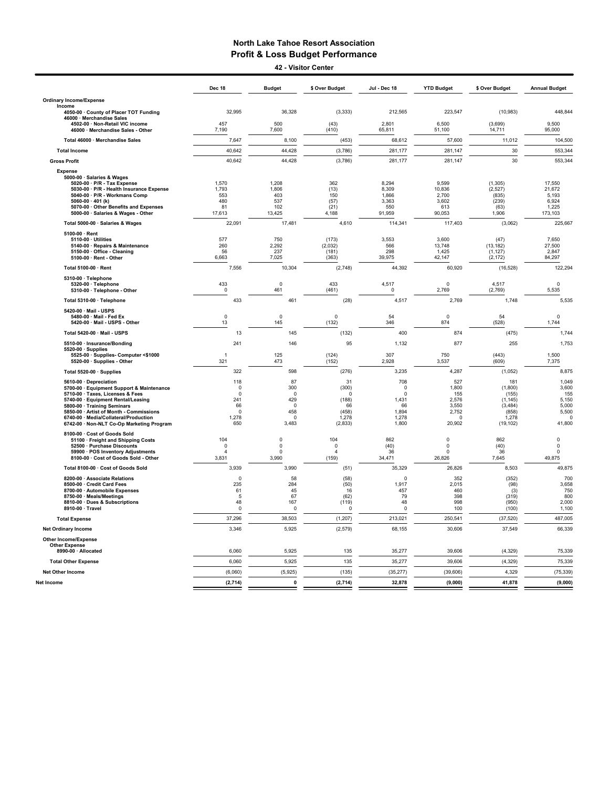42 - Visitor Center

|                                                                                                                                                                                                                                                                                                               | Dec 18                                                                  | <b>Budget</b>                                                        | \$ Over Budget                                                       | Jul - Dec 18                                                   | <b>YTD Budget</b>                                                    | \$ Over Budget                                                                 | <b>Annual Budget</b>                                                   |
|---------------------------------------------------------------------------------------------------------------------------------------------------------------------------------------------------------------------------------------------------------------------------------------------------------------|-------------------------------------------------------------------------|----------------------------------------------------------------------|----------------------------------------------------------------------|----------------------------------------------------------------|----------------------------------------------------------------------|--------------------------------------------------------------------------------|------------------------------------------------------------------------|
| <b>Ordinary Income/Expense</b>                                                                                                                                                                                                                                                                                |                                                                         |                                                                      |                                                                      |                                                                |                                                                      |                                                                                |                                                                        |
| Income<br>4050-00 · County of Placer TOT Funding                                                                                                                                                                                                                                                              | 32,995                                                                  | 36,328                                                               | (3, 333)                                                             | 212,565                                                        | 223,547                                                              | (10, 983)                                                                      | 448,844                                                                |
| 46000 · Merchandise Sales<br>4502-00 · Non-Retail VIC income<br>46000 · Merchandise Sales - Other                                                                                                                                                                                                             | 457<br>7,190                                                            | 500<br>7,600                                                         | (43)<br>(410)                                                        | 2,801<br>65,811                                                | 6,500<br>51,100                                                      | (3,699)<br>14,711                                                              | 9,500<br>95,000                                                        |
| Total 46000 · Merchandise Sales                                                                                                                                                                                                                                                                               | 7,647                                                                   | 8.100                                                                | (453)                                                                | 68.612                                                         | 57,600                                                               | 11,012                                                                         | 104,500                                                                |
| <b>Total Income</b>                                                                                                                                                                                                                                                                                           | 40,642                                                                  | 44,428                                                               | (3,786)                                                              | 281,177                                                        | 281,147                                                              | 30                                                                             | 553,344                                                                |
| <b>Gross Profit</b>                                                                                                                                                                                                                                                                                           | 40,642                                                                  | 44,428                                                               | (3,786)                                                              | 281,177                                                        | 281,147                                                              | 30                                                                             | 553,344                                                                |
| <b>Expense</b><br>5000-00 · Salaries & Wages<br>5020-00 · P/R - Tax Expense<br>5030-00 · P/R - Health Insurance Expense<br>5040-00 · P/R - Workmans Comp<br>5060-00 $\cdot$ 401 (k)<br>5070-00 Other Benefits and Expenses<br>5000-00 · Salaries & Wages - Other                                              | 1,570<br>1,793<br>553<br>480<br>81<br>17,613                            | 1,208<br>1,806<br>403<br>537<br>102<br>13,425                        | 362<br>(13)<br>150<br>(57)<br>(21)<br>4,188                          | 8.294<br>8,309<br>1,866<br>3,363<br>550<br>91,959              | 9,599<br>10,836<br>2.700<br>3,602<br>613<br>90,053                   | (1, 305)<br>(2,527)<br>(835)<br>(239)<br>(63)<br>1,906                         | 17,550<br>21,672<br>5,193<br>6,924<br>1.225<br>173,103                 |
| Total 5000-00 · Salaries & Wages                                                                                                                                                                                                                                                                              | 22,091                                                                  | 17,481                                                               | 4,610                                                                | 114,341                                                        | 117,403                                                              | (3,062)                                                                        | 225,667                                                                |
| 5100-00 · Rent<br>5110-00 · Utilities<br>5140-00 · Repairs & Maintenance<br>5150-00 · Office - Cleaning<br>5100-00 · Rent - Other                                                                                                                                                                             | 577<br>260<br>56<br>6,663                                               | 750<br>2,292<br>237<br>7,025                                         | (173)<br>(2,032)<br>(181)<br>(363)                                   | 3,553<br>566<br>298<br>39,975                                  | 3.600<br>13,748<br>1,425<br>42,147                                   | (47)<br>(13, 182)<br>(1, 127)<br>(2, 172)                                      | 7,650<br>27,500<br>2,847<br>84,297                                     |
| Total 5100-00 · Rent                                                                                                                                                                                                                                                                                          | 7,556                                                                   | 10,304                                                               | (2,748)                                                              | 44,392                                                         | 60,920                                                               | (16, 528)                                                                      | 122,294                                                                |
| 5310-00 · Telephone<br>5320-00 · Telephone<br>5310-00 · Telephone - Other                                                                                                                                                                                                                                     | 433<br>$\mathbf 0$                                                      | $\mathsf 0$<br>461                                                   | 433<br>(461)                                                         | 4,517<br>0                                                     | $\mathbf 0$<br>2,769                                                 | 4,517<br>(2,769)                                                               | 0<br>5,535                                                             |
| Total 5310-00 · Telephone                                                                                                                                                                                                                                                                                     | 433                                                                     | 461                                                                  | (28)                                                                 | 4,517                                                          | 2,769                                                                | 1,748                                                                          | 5,535                                                                  |
| 5420-00 · Mail - USPS<br>5480-00 · Mail - Fed Ex<br>5420-00 · Mail - USPS - Other                                                                                                                                                                                                                             | $\mathsf 0$<br>13                                                       | $\mathsf 0$<br>145                                                   | $\pmb{0}$<br>(132)                                                   | 54<br>346                                                      | $\mathbf 0$<br>874                                                   | 54<br>(528)                                                                    | $\mathbf 0$<br>1,744                                                   |
| Total 5420-00 · Mail - USPS                                                                                                                                                                                                                                                                                   | 13                                                                      | 145                                                                  | (132)                                                                | 400                                                            | 874                                                                  | (475)                                                                          | 1,744                                                                  |
| 5510-00 · Insurance/Bonding<br>$5520-00 \cdot$ Supplies<br>5525-00 · Supplies- Computer <\$1000<br>5520-00 · Supplies - Other                                                                                                                                                                                 | 241<br>$\overline{1}$<br>321                                            | 146<br>125<br>473                                                    | 95<br>(124)<br>(152)                                                 | 1,132<br>307<br>2,928                                          | 877<br>750<br>3,537                                                  | 255<br>(443)<br>(609)                                                          | 1,753<br>1,500<br>7,375                                                |
| Total 5520-00 · Supplies                                                                                                                                                                                                                                                                                      | 322                                                                     | 598                                                                  | (276)                                                                | 3,235                                                          | 4,287                                                                | (1,052)                                                                        | 8,875                                                                  |
| 5610-00 · Depreciation<br>5700-00 · Equipment Support & Maintenance<br>5710-00 · Taxes, Licenses & Fees<br>5740-00 · Equipment Rental/Leasing<br>5800-00 · Training Seminars<br>5850-00 · Artist of Month - Commissions<br>6740-00 · Media/Collateral/Production<br>6742-00 · Non-NLT Co-Op Marketing Program | 118<br>$\mathbf 0$<br>$\Omega$<br>241<br>66<br>$\Omega$<br>1,278<br>650 | 87<br>300<br>$\Omega$<br>429<br>$\Omega$<br>458<br>$\Omega$<br>3,483 | 31<br>(300)<br>$\Omega$<br>(188)<br>66<br>(458)<br>1,278<br>(2, 833) | 708<br>0<br>$\Omega$<br>1,431<br>66<br>1,894<br>1,278<br>1,800 | 527<br>1,800<br>155<br>2,576<br>3,550<br>2,752<br>$\Omega$<br>20,902 | 181<br>(1,800)<br>(155)<br>(1, 145)<br>(3, 484)<br>(858)<br>1,278<br>(19, 102) | 1,049<br>3,600<br>155<br>5,150<br>5,000<br>5,500<br>$\Omega$<br>41,800 |
| 8100-00 · Cost of Goods Sold<br>51100 · Freight and Shipping Costs<br>52500 · Purchase Discounts<br>59900 · POS Inventory Adjustments<br>8100-00 · Cost of Goods Sold - Other                                                                                                                                 | 104<br>$\mathbf 0$<br>$\Delta$<br>3,831                                 | $\mathsf 0$<br>$\mathsf 0$<br>$\Omega$<br>3,990                      | 104<br>$\pmb{0}$<br>$\boldsymbol{\Delta}$<br>(159)                   | 862<br>(40)<br>36<br>34,471                                    | $\pmb{0}$<br>$\mathbf 0$<br>$\Omega$<br>26,826                       | 862<br>(40)<br>36<br>7,645                                                     | $\pmb{0}$<br>$\pmb{0}$<br>0<br>49,875                                  |
| Total 8100-00 · Cost of Goods Sold                                                                                                                                                                                                                                                                            | 3,939                                                                   | 3,990                                                                | (51)                                                                 | 35,329                                                         | 26,826                                                               | 8,503                                                                          | 49,875                                                                 |
| 8200-00 Associate Relations<br>8500-00 · Credit Card Fees<br>8700-00 · Automobile Expenses<br>8750-00 · Meals/Meetings<br>8810-00 · Dues & Subscriptions<br>8910-00 · Travel                                                                                                                                  | $\pmb{0}$<br>235<br>61<br>-5<br>48<br>$\Omega$                          | 58<br>284<br>45<br>67<br>167<br>$^{\circ}$                           | (58)<br>(50)<br>16<br>(62)<br>(119)<br>$\Omega$                      | $\mathbf 0$<br>1,917<br>457<br>79<br>48<br>$\Omega$            | 352<br>2,015<br>460<br>398<br>998<br>100                             | (352)<br>(98)<br>(3)<br>(319)<br>(950)<br>(100)                                | 700<br>3,658<br>750<br>800<br>2,000<br>1,100                           |
| <b>Total Expense</b>                                                                                                                                                                                                                                                                                          | 37,296                                                                  | 38,503                                                               | (1, 207)                                                             | 213,021                                                        | 250,541                                                              | (37, 520)                                                                      | 487,005                                                                |
| <b>Net Ordinary Income</b><br><b>Other Income/Expense</b>                                                                                                                                                                                                                                                     | 3,346                                                                   | 5,925                                                                | (2, 579)                                                             | 68,155                                                         | 30,606                                                               | 37,549                                                                         | 66,339                                                                 |
| <b>Other Expense</b><br>8990-00 · Allocated                                                                                                                                                                                                                                                                   | 6,060                                                                   | 5,925                                                                | 135                                                                  | 35,277                                                         | 39,606                                                               | (4, 329)                                                                       | 75,339                                                                 |
| <b>Total Other Expense</b>                                                                                                                                                                                                                                                                                    | 6,060                                                                   | 5,925                                                                | 135                                                                  | 35,277                                                         | 39,606                                                               | (4,329)                                                                        | 75,339                                                                 |
| Net Other Income                                                                                                                                                                                                                                                                                              | (6,060)                                                                 | (5,925)                                                              | (135)                                                                | (35, 277)                                                      | (39, 606)                                                            | 4,329                                                                          | (75, 339)                                                              |
| Net Income                                                                                                                                                                                                                                                                                                    | (2, 714)                                                                | $\mathbf{0}$                                                         | (2, 714)                                                             | 32,878                                                         | (9,000)                                                              | 41,878                                                                         | (9,000)                                                                |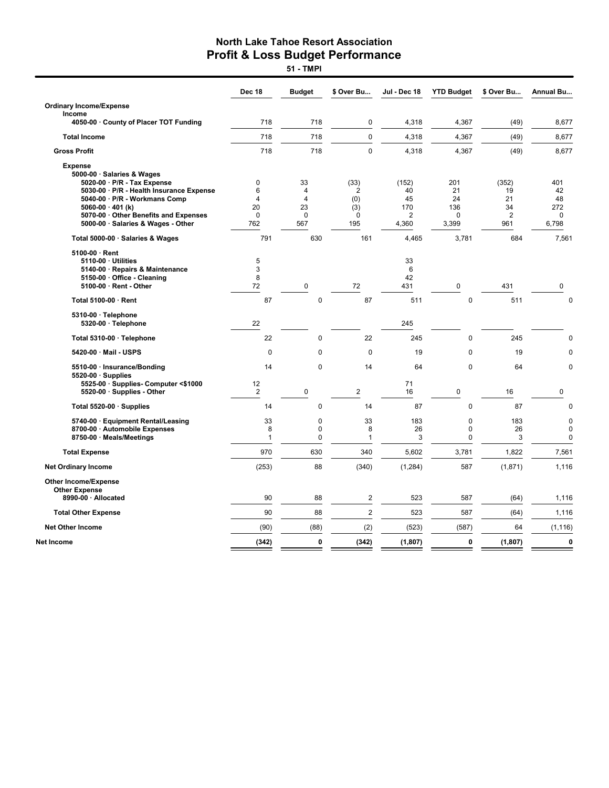51 - TMPI

|                                                                                                                                         | <b>Dec 18</b>                              | <b>Budget</b>                              | \$ Over Bu              | Jul - Dec 18                         | <b>YTD Budget</b>                       | \$ Over Bu           | <b>Annual Bu</b>                          |
|-----------------------------------------------------------------------------------------------------------------------------------------|--------------------------------------------|--------------------------------------------|-------------------------|--------------------------------------|-----------------------------------------|----------------------|-------------------------------------------|
| <b>Ordinary Income/Expense</b>                                                                                                          |                                            |                                            |                         |                                      |                                         |                      |                                           |
| Income<br>4050-00 · County of Placer TOT Funding                                                                                        | 718                                        | 718                                        | $\mathbf 0$             | 4.318                                | 4,367                                   | (49)                 | 8,677                                     |
| <b>Total Income</b>                                                                                                                     | 718                                        | 718                                        | $\mathbf 0$             | 4,318                                | 4,367                                   | (49)                 | 8,677                                     |
| <b>Gross Profit</b>                                                                                                                     | 718                                        | 718                                        | $\mathbf 0$             | 4,318                                | 4,367                                   | (49)                 | 8,677                                     |
| <b>Expense</b><br>5000-00 · Salaries & Wages<br>5020-00 · P/R - Tax Expense<br>5030-00 · P/R - Health Insurance Expense                 | 0<br>6                                     | 33<br>4                                    | (33)<br>2               | (152)<br>40                          | 201<br>21                               | (352)<br>19          | 401<br>42                                 |
| 5040-00 · P/R - Workmans Comp<br>5060-00 $\cdot$ 401 (k)<br>5070-00 Other Benefits and Expenses<br>5000-00 · Salaries & Wages - Other   | $\overline{4}$<br>20<br>$\mathbf 0$<br>762 | $\overline{4}$<br>23<br>$\mathbf 0$<br>567 | (0)<br>(3)<br>0<br>195  | 45<br>170<br>$\overline{2}$<br>4,360 | 24<br>136<br>0<br>3,399                 | 21<br>34<br>2<br>961 | 48<br>272<br>0<br>6,798                   |
| Total 5000-00 · Salaries & Wages                                                                                                        | 791                                        | 630                                        | 161                     | 4,465                                | 3,781                                   | 684                  | 7,561                                     |
| $5100-00 \cdot$ Rent<br>5110-00 · Utilities<br>5140-00 · Repairs & Maintenance<br>5150-00 · Office - Cleaning<br>5100-00 · Rent - Other | 5<br>3<br>8<br>72                          | 0                                          | 72                      | 33<br>6<br>42<br>431                 | 0                                       | 431                  | 0                                         |
| Total 5100-00 · Rent                                                                                                                    | 87                                         | $\pmb{0}$                                  | 87                      | 511                                  | $\pmb{0}$                               | 511                  | $\mathbf 0$                               |
| 5310-00 · Telephone<br>5320-00 · Telephone                                                                                              | 22                                         |                                            |                         | 245                                  |                                         |                      |                                           |
| Total 5310-00 · Telephone                                                                                                               | 22                                         | $\mathbf 0$                                | 22                      | 245                                  | $\Omega$                                | 245                  | $\mathbf 0$                               |
| 5420-00 · Mail - USPS                                                                                                                   | $\mathbf 0$                                | $\mathbf 0$                                | $\mathbf 0$             | 19                                   | 0                                       | 19                   | $\mathbf 0$                               |
| 5510-00 · Insurance/Bonding                                                                                                             | 14                                         | $\overline{0}$                             | 14                      | 64                                   | $\mathbf 0$                             | 64                   | $\mathbf 0$                               |
| $5520-00 \cdot$ Supplies<br>5525-00 · Supplies- Computer <\$1000<br>5520-00 · Supplies - Other                                          | 12<br>$\overline{2}$                       | $\pmb{0}$                                  | $\overline{2}$          | 71<br>16                             | 0                                       | 16                   | 0                                         |
| Total 5520-00 · Supplies                                                                                                                | 14                                         | $\pmb{0}$                                  | 14                      | 87                                   | 0                                       | 87                   | $\mathbf 0$                               |
| 5740-00 · Equipment Rental/Leasing<br>8700-00 · Automobile Expenses<br>8750-00 · Meals/Meetings                                         | 33<br>8<br>1                               | $\mathbf 0$<br>0<br>$\pmb{0}$              | 33<br>8<br>$\mathbf{1}$ | 183<br>26<br>3                       | $\mathbf 0$<br>$\pmb{0}$<br>$\mathbf 0$ | 183<br>26<br>3       | $\mathbf 0$<br>$\mathbf 0$<br>$\mathbf 0$ |
| <b>Total Expense</b>                                                                                                                    | 970                                        | 630                                        | 340                     | 5,602                                | 3,781                                   | 1,822                | 7,561                                     |
| <b>Net Ordinary Income</b>                                                                                                              | (253)                                      | 88                                         | (340)                   | (1, 284)                             | 587                                     | (1,871)              | 1,116                                     |
| <b>Other Income/Expense</b><br><b>Other Expense</b>                                                                                     |                                            |                                            |                         |                                      |                                         |                      |                                           |
| 8990-00 · Allocated                                                                                                                     | 90                                         | 88                                         | $\overline{\mathbf{c}}$ | 523                                  | 587                                     | (64)                 | 1,116                                     |
| <b>Total Other Expense</b>                                                                                                              | 90                                         | 88                                         | $\overline{2}$          | 523                                  | 587                                     | (64)                 | 1,116                                     |
| <b>Net Other Income</b>                                                                                                                 | (90)                                       | (88)                                       | (2)                     | (523)                                | (587)                                   | 64                   | (1, 116)                                  |
| Net Income                                                                                                                              | (342)                                      | 0                                          | (342)                   | (1, 807)                             | 0                                       | (1, 807)             | $\mathbf 0$                               |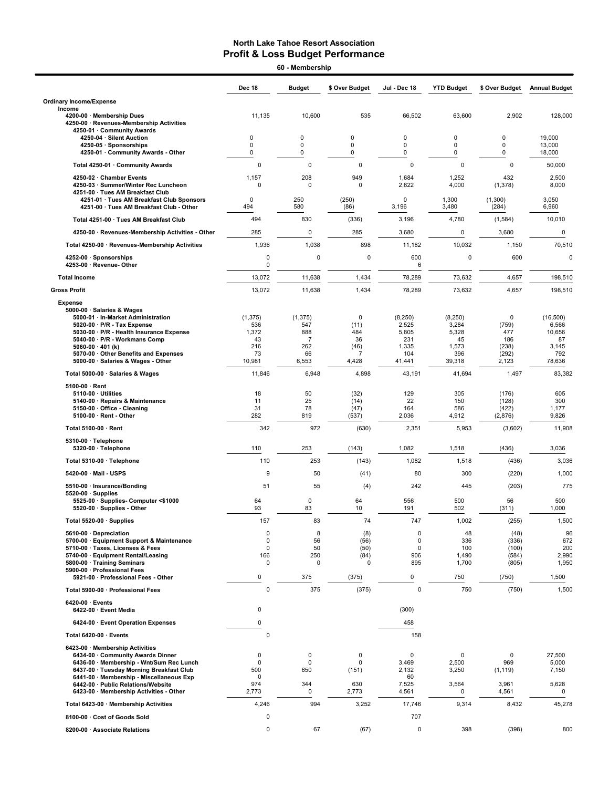60 - Membership

|                                                                                                               | Dec 18             | <b>Budget</b>    | \$ Over Budget         | Jul - Dec 18    | <b>YTD Budget</b> | \$ Over Budget     | <b>Annual Budget</b> |
|---------------------------------------------------------------------------------------------------------------|--------------------|------------------|------------------------|-----------------|-------------------|--------------------|----------------------|
| <b>Ordinary Income/Expense</b>                                                                                |                    |                  |                        |                 |                   |                    |                      |
| Income<br>4200-00 · Membership Dues<br>4250-00 · Revenues-Membership Activities<br>4250-01 · Community Awards | 11,135             | 10,600           | 535                    | 66,502          | 63,600            | 2,902              | 128,000              |
| 4250-04 · Silent Auction                                                                                      | 0                  | 0                | $\mathbf 0$            | $\mathbf 0$     | 0                 | $\Omega$           | 19,000               |
| 4250-05 · Sponsorships                                                                                        | 0<br>0             | 0<br>$\mathbf 0$ | $\mathbf 0$<br>0       | 0<br>0          | 0<br>0            | 0<br>0             | 13,000               |
| 4250-01 Community Awards - Other                                                                              | $\mathbf 0$        | $\mathbf 0$      |                        | $\pmb{0}$       | $\mathbf 0$       |                    | 18,000               |
| Total 4250-01 · Community Awards                                                                              | 1,157              | 208              | 0<br>949               |                 | 1,252             | $\mathbf 0$<br>432 | 50,000               |
| 4250-02 · Chamber Events<br>4250-03 · Summer/Winter Rec Luncheon<br>4251-00 · Tues AM Breakfast Club          | $\Omega$           | $\mathbf 0$      | 0                      | 1,684<br>2,622  | 4,000             | (1, 378)           | 2,500<br>8,000       |
| 4251-01 · Tues AM Breakfast Club Sponsors<br>4251-00 · Tues AM Breakfast Club - Other                         | $\mathbf 0$<br>494 | 250<br>580       | (250)<br>(86)          | 0<br>3,196      | 1,300<br>3,480    | (1,300)<br>(284)   | 3,050<br>6,960       |
| Total 4251-00 · Tues AM Breakfast Club                                                                        | 494                | 830              | (336)                  | 3,196           | 4,780             | (1,584)            | 10,010               |
| 4250-00 · Revenues-Membership Activities - Other                                                              | 285                | 0                | 285                    | 3,680           | 0                 | 3,680              | 0                    |
| Total 4250-00 · Revenues-Membership Activities                                                                | 1,936              | 1,038            | 898                    | 11,182          | 10,032            | 1,150              | 70,510               |
| 4252-00 · Sponsorships<br>4253-00 · Revenue- Other                                                            | 0<br>0             | 0                | 0                      | 600<br>6        | 0                 | 600                | 0                    |
| <b>Total Income</b>                                                                                           | 13,072             | 11,638           | 1,434                  | 78,289          | 73,632            | 4,657              | 198,510              |
| <b>Gross Profit</b>                                                                                           | 13,072             | 11,638           | 1,434                  | 78,289          | 73,632            | 4,657              | 198,510              |
| <b>Expense</b><br>5000-00 · Salaries & Wages<br>5000-01 · In-Market Administration                            | (1, 375)           | (1, 375)         | 0                      | (8, 250)        | (8, 250)          | 0                  | (16, 500)            |
| $5020-00 \cdot P/R$ - Tax Expense<br>5030-00 · P/R - Health Insurance Expense                                 | 536<br>1,372       | 547<br>888       | (11)<br>484            | 2,525<br>5,805  | 3,284<br>5,328    | (759)<br>477       | 6,566<br>10,656      |
| 5040-00 · P/R - Workmans Comp                                                                                 | 43                 | 7                | 36                     | 231             | 45                | 186                | 87                   |
| 5060-00 $\cdot$ 401 (k)<br>5070-00 · Other Benefits and Expenses                                              | 216<br>73          | 262<br>66        | (46)<br>$\overline{7}$ | 1,335<br>104    | 1,573<br>396      | (238)<br>(292)     | 3,145<br>792         |
| 5000-00 · Salaries & Wages - Other                                                                            | 10,981             | 6,553            | 4,428                  | 41,441          | 39,318            | 2,123              | 78,636               |
| Total 5000-00 · Salaries & Wages                                                                              | 11,846             | 6,948            | 4,898                  | 43,191          | 41,694            | 1,497              | 83,382               |
| 5100-00 · Rent<br>$5110-00 \cdot$ Utilities                                                                   | 18                 | 50               | (32)                   | 129             | 305               | (176)              | 605                  |
| 5140-00 · Repairs & Maintenance                                                                               | 11                 | 25               | (14)                   | 22              | 150               | (128)              | 300                  |
| 5150-00 · Office - Cleaning<br>5100-00 · Rent - Other                                                         | 31<br>282          | 78<br>819        | (47)<br>(537)          | 164<br>2,036    | 586<br>4,912      | (422)<br>(2,876)   | 1,177<br>9,826       |
| Total 5100-00 · Rent                                                                                          | 342                | 972              | (630)                  | 2,351           | 5,953             | (3,602)            | 11,908               |
| 5310-00 · Telephone                                                                                           |                    |                  |                        |                 |                   |                    |                      |
| 5320-00 · Telephone                                                                                           | 110                | 253              | (143)                  | 1,082           | 1,518             | (436)              | 3,036                |
| Total 5310-00 · Telephone                                                                                     | 110                | 253              | (143)                  | 1,082           | 1,518             | (436)              | 3,036                |
| 5420-00 · Mail - USPS                                                                                         | 9                  | 50               | (41)                   | 80              | 300               | (220)              | 1,000                |
| 5510-00 · Insurance/Bonding                                                                                   | 51                 | 55               | (4)                    | 242             | 445               | (203)              | 775                  |
| $5520-00 \cdot$ Supplies<br>5525-00 · Supplies- Computer <\$1000                                              | 64                 | 0                | 64                     | 556             | 500               | 56                 | 500                  |
| 5520-00 · Supplies - Other                                                                                    | 93                 | 83               | 10                     | 191             | 502               | (311)              | 1,000                |
| Total 5520-00 · Supplies                                                                                      | 157                | 83               | 74                     | 747             | 1,002             | (255)              | 1,500                |
| 5610-00 · Depreciation<br>5700-00 · Equipment Support & Maintenance                                           | 0<br>0             | 8<br>56          | (8)<br>(56)            | 0<br>0          | 48<br>336         | (48)<br>(336)      | 96<br>672            |
| 5710-00 · Taxes, Licenses & Fees                                                                              | 0                  | 50               | (50)                   | 0               | 100               | (100)              | 200                  |
| 5740-00 · Equipment Rental/Leasing<br>5800-00 · Training Seminars                                             | 166<br>0           | 250<br>0         | (84)<br>0              | 906<br>895      | 1,490<br>1,700    | (584)<br>(805)     | 2,990<br>1,950       |
| 5900-00 · Professional Fees<br>5921-00 · Professional Fees - Other                                            | 0                  | 375              | (375)                  | $\mathbf 0$     | 750               | (750)              | 1,500                |
| Total 5900-00 · Professional Fees                                                                             | 0                  | 375              | (375)                  | 0               | 750               | (750)              | 1,500                |
| $6420-00 \cdot$ Events                                                                                        |                    |                  |                        |                 |                   |                    |                      |
| 6422-00 · Event Media                                                                                         | 0                  |                  |                        | (300)           |                   |                    |                      |
| 6424-00 · Event Operation Expenses                                                                            | 0                  |                  |                        | 458             |                   |                    |                      |
| Total 6420-00 · Events                                                                                        | 0                  |                  |                        | 158             |                   |                    |                      |
| 6423-00 · Membership Activities<br>6434-00 Community Awards Dinner                                            | 0                  | 0                | 0                      | $\mathbf 0$     | 0                 | 0                  | 27,500               |
| 6436-00 · Membership - Wnt/Sum Rec Lunch                                                                      | 0                  | $\mathbf 0$      | 0                      | 3,469           | 2,500             | 969                | 5,000                |
| 6437-00 · Tuesday Morning Breakfast Club<br>6441-00 · Membership - Miscellaneous Exp                          | 500<br>0           | 650              | (151)                  | 2,132<br>60     | 3,250             | (1, 119)           | 7,150                |
| 6442-00 · Public Relations/Website                                                                            | 974<br>2,773       | 344<br>0         | 630                    | 7,525           | 3,564<br>0        | 3,961              | 5,628<br>0           |
| 6423-00 · Membership Activities - Other<br>Total 6423-00 · Membership Activities                              | 4,246              | 994              | 2,773<br>3,252         | 4,561<br>17,746 | 9,314             | 4,561<br>8,432     | 45,278               |
| 8100-00 · Cost of Goods Sold                                                                                  | 0                  |                  |                        | 707             |                   |                    |                      |
| 8200-00 · Associate Relations                                                                                 | 0                  | 67               | (67)                   | 0               | 398               | (398)              | 800                  |
|                                                                                                               |                    |                  |                        |                 |                   |                    |                      |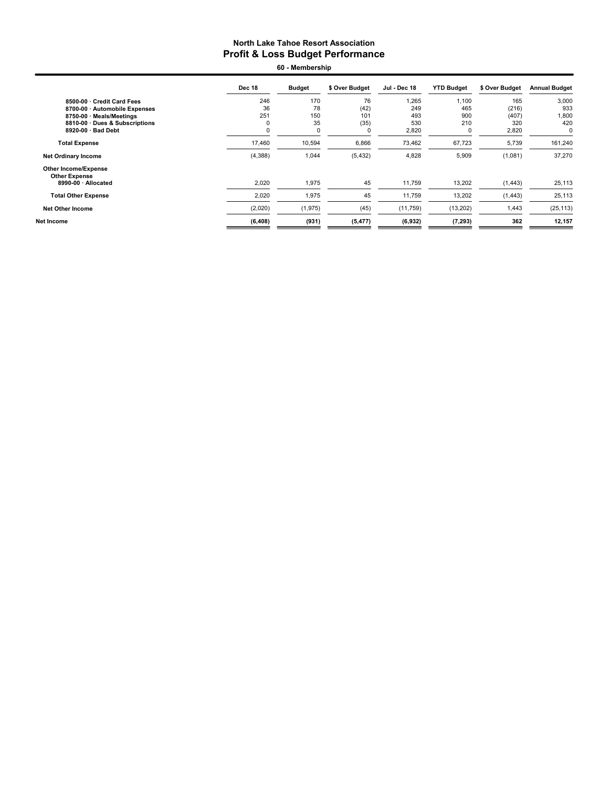60 - Membership

|                                                     | <b>Dec 18</b> | <b>Budget</b> | \$ Over Budget | Jul - Dec 18 | <b>YTD Budget</b> | \$ Over Budget | <b>Annual Budget</b> |
|-----------------------------------------------------|---------------|---------------|----------------|--------------|-------------------|----------------|----------------------|
| 8500-00 Credit Card Fees                            | 246           | 170           | 76             | 1,265        | 1.100             | 165            | 3,000                |
| 8700-00 · Automobile Expenses                       | 36            | 78            | (42)           | 249          | 465               | (216)          | 933                  |
| 8750-00 · Meals/Meetings                            | 251           | 150           | 101            | 493          | 900               | (407)          | 1,800                |
| 8810-00 · Dues & Subscriptions                      | $\Omega$      | 35            | (35)           | 530          | 210               | 320            | 420                  |
| 8920-00 · Bad Debt                                  | 0             | 0             | 0              | 2,820        | $\mathbf 0$       | 2,820          | 0                    |
| <b>Total Expense</b>                                | 17,460        | 10,594        | 6,866          | 73,462       | 67,723            | 5,739          | 161,240              |
| <b>Net Ordinary Income</b>                          | (4,388)       | 1,044         | (5, 432)       | 4,828        | 5,909             | (1,081)        | 37,270               |
| <b>Other Income/Expense</b><br><b>Other Expense</b> |               |               |                |              |                   |                |                      |
| 8990-00 · Allocated                                 | 2,020         | 1,975         | 45             | 11,759       | 13,202            | (1, 443)       | 25,113               |
| <b>Total Other Expense</b>                          | 2,020         | 1,975         | 45             | 11,759       | 13,202            | (1, 443)       | 25,113               |
| <b>Net Other Income</b>                             | (2,020)       | (1, 975)      | (45)           | (11,759)     | (13, 202)         | 1,443          | (25, 113)            |
| Net Income                                          | (6, 408)      | (931)         | (5, 477)       | (6, 932)     | (7, 293)          | 362            | 12,157               |
|                                                     |               |               |                |              |                   |                |                      |